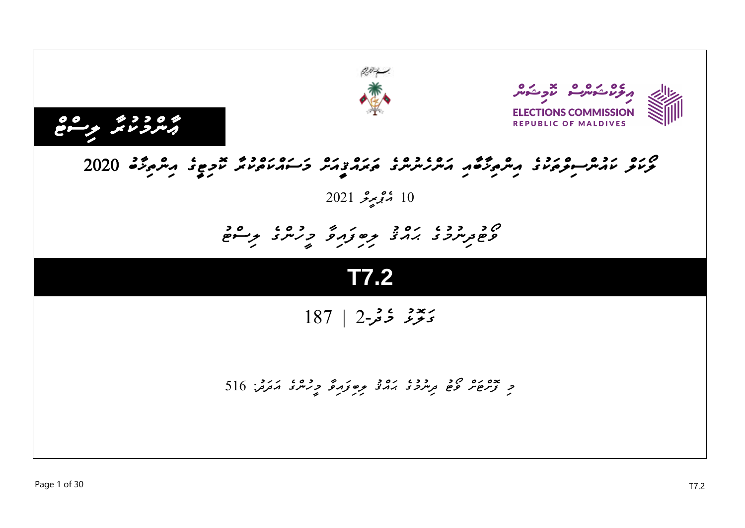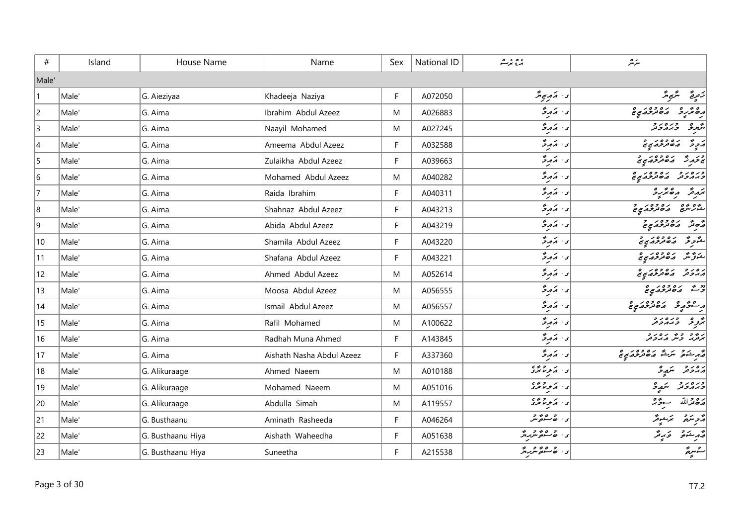| #               | Island | House Name        | Name                      | Sex       | National ID | ړه پر ه               | ىئرىتر                                                |
|-----------------|--------|-------------------|---------------------------|-----------|-------------|-----------------------|-------------------------------------------------------|
| Male'           |        |                   |                           |           |             |                       |                                                       |
| 1               | Male'  | G. Aieziyaa       | Khadeeja Naziya           | F         | A072050     | ی مکریم پر            | رَسٍ مَّتَّ شَيْءَ                                    |
| 2               | Male'  | G. Aima           | Ibrahim Abdul Azeez       | M         | A026883     | ى بە ئەر              | גפילים רפינקריקים                                     |
| $\vert$ 3       | Male'  | G. Aima           | Naayil Mohamed            | M         | A027245     | ى بە ئەر              | شرو ورەرو                                             |
| $\overline{4}$  | Male'  | G. Aima           | Ameema Abdul Azeez        | F         | A032588     | ى بە ئەر              | ג'כְל ג'ם כפתבת בי                                    |
| $\overline{5}$  | Male'  | G. Aima           | Zulaikha Abdul Azeez      | F         | A039663     | ى بەرگە               | בקה הסיקיבה בי                                        |
| $\vert 6 \vert$ | Male'  | G. Aima           | Mohamed Abdul Azeez       | ${\sf M}$ | A040282     | ى بە ئەر              | כנסגב גסבסגם<br>כגובכת הסתי <i>בה א</i> ָ             |
| 7               | Male'  | G. Aima           | Raida Ibrahim             | F         | A040311     | ى بەدەرى              | بمرمرقه مرکانگریز                                     |
| 8               | Male'  | G. Aima           | Shahnaz Abdul Azeez       | F         | A043213     | ى بەرگە               | روه ده ده ده در د<br>شرکتری ماه موردمانوی             |
| 9               | Male'  | G. Aima           | Abida Abdul Azeez         | F         | A043219     | ى بە ئەرگ             | הם ה בסינה ב                                          |
| 10              | Male'  | G. Aima           | Shamila Abdul Azeez       | F         | A043220     | ى بەرگە               | شور مەمدىمە                                           |
| 11              | Male'  | G. Aima           | Shafana Abdul Azeez       | F         | A043221     | ى بە ئەر              | شۆر مەدەر بە                                          |
| 12              | Male'  | G. Aima           | Ahmed Abdul Azeez         | M         | A052614     | ى بەرگە               | קפק קפקקים<br>ההכת הסתיכה <sub>ב</sub> א              |
| 13              | Male'  | G. Aima           | Moosa Abdul Azeez         | ${\sf M}$ | A056555     | ى بەرگە               | מ 2 גם 2020<br>כל הסתיכה <sub>ב</sub> אש              |
| 14              | Male'  | G. Aima           | Ismail Abdul Azeez        | ${\sf M}$ | A056557     | ى بە ئەر              | ת פלקיב הסיניכת <sub>א</sub> ם                        |
| 15              | Male'  | G. Aima           | Rafil Mohamed             | ${\sf M}$ | A100622     | ى بە ئەر              | ترو ورەر د                                            |
| 16              | Male'  | G. Aima           | Radhah Muna Ahmed         | F         | A143845     | ى ئەمرىچ              | رود ویژگردون                                          |
| 17              | Male'  | G. Aima           | Aishath Nasha Abdul Azeez | F         | A337360     | ى بە ئەر              | و د شره مرت د د و و د ه<br>و د شره مرت و ه د د د د کم |
| 18              | Male'  | G. Alikuraage     | Ahmed Naeem               | M         | A010188     | ی گروروی              | برەر ئە ئىمرو                                         |
| 19              | Male'  | G. Alikuraage     | Mohamed Naeem             | M         | A051016     | ی گرونوی              | ورەر د شهر و                                          |
| 20              | Male'  | G. Alikuraage     | Abdulla Simah             | M         | A119557     | ی گروروی              | رەقراللە سەۋر                                         |
| 21              | Male'  | G. Busthaanu      | Aminath Rasheeda          | F         | A046264     | ۔ ح صوبر<br>ی حاصوبیں | أزويتم أأترشوش                                        |
| 22              | Male'  | G. Busthaanu Hiya | Aishath Waheedha          | F         | A051638     |                       | مەرشىمى كېرىگر                                        |
| 23              | Male'  | G. Busthaanu Hiya | Suneetha                  | F         | A215538     | ى ھەسمۇ سربەر         | قسم مير<br>په                                         |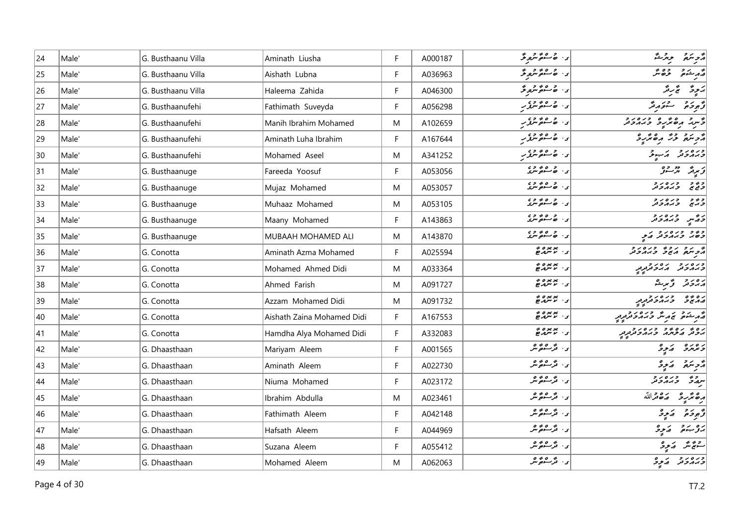| 24           | Male' | G. Busthaanu Villa | Aminath Liusha             | F         | A000187 | ى ھەمۇسرە ئۇ                      | أأدمني والمشكل                                                                                                                                                                                                               |
|--------------|-------|--------------------|----------------------------|-----------|---------|-----------------------------------|------------------------------------------------------------------------------------------------------------------------------------------------------------------------------------------------------------------------------|
| 25           | Male' | G. Busthaanu Villa | Aishath Lubna              | F         | A036963 | ى ھەمۇسرە ئۇ                      | أورشك وهاش                                                                                                                                                                                                                   |
| 26           | Male' | G. Busthaanu Villa | Haleema Zahida             | F         | A046300 | ى ھەمۇسمىر                        | يَجِرَّ بِجَرِيْرَ                                                                                                                                                                                                           |
| 27           | Male' | G. Busthaanufehi   | Fathimath Suveyda          | F         | A056298 | - د ه شود د ،<br>د ۱۰ ه شوه مرز ب | وٌجوحو ڪورند                                                                                                                                                                                                                 |
| 28           | Male' | G. Busthaanufehi   | Manih Ibrahim Mohamed      | M         | A102659 | ى ھەھەم دىر                       | وٌ سِرٌ مِنْ عُرِ وَبِرَ وَبِرَ وَ                                                                                                                                                                                           |
| 29           | Male' | G. Busthaanufehi   | Aminath Luha Ibrahim       | F         | A167644 | ى ھەھۋىترىمى                      |                                                                                                                                                                                                                              |
| 30           | Male' | G. Busthaanufehi   | Mohamed Aseel              | M         | A341252 | د . ھېشمور دي<br>د اھ شمومبرز ب   | ورەرو كەبدۇ                                                                                                                                                                                                                  |
| 31           | Male' | G. Busthaanuge     | Fareeda Yoosuf             | F         | A053056 | ى ھەشھەرى                         | توسيقر متر حيو                                                                                                                                                                                                               |
| 32           | Male' | G. Busthaanuge     | Mujaz Mohamed              | M         | A053057 | د ق شوځ د په<br>د ن صنعو سر       | כים כנסנב<br>כיבים כגולכנג                                                                                                                                                                                                   |
| 33           | Male' | G. Busthaanuge     | Muhaaz Mohamed             | M         | A053105 | ی ۔ ص- صوتر و ۽                   | و ره ر و<br><i>د ب</i> رگرفر<br>تر بحر تر<br>تر بخر ش                                                                                                                                                                        |
| 34           | Male' | G. Busthaanuge     | Maany Mohamed              | F         | A143863 | ى ھەشھەرى                         | أذكر وره رو                                                                                                                                                                                                                  |
| 35           | Male' | G. Busthaanuge     | MUBAAH MOHAMED ALI         | M         | A143870 | ى ھەشھەرى                         |                                                                                                                                                                                                                              |
| 36           | Male' | G. Conotta         | Aminath Azma Mohamed       | F         | A025594 | $z_0 x z$                         | أثر شروع وره دو                                                                                                                                                                                                              |
| 37           | Male' | G. Conotta         | Mohamed Ahmed Didi         | ${\sf M}$ | A033364 | $z_0 \times z_1$                  | وره رو ده روپر در در در در در استفاده کار در استفاده در استفاده در استفاده در استفاده کار در استفاده کار در اس<br>در استفاده کار در استفاده در استفاده در استفاده در استفاده در استفاده در استفاده کار در استفاده کار در دست |
| 38           | Male' | G. Conotta         | Ahmed Farish               | M         | A091727 | $z_0 \times z_1$                  | دەرە ئىرى                                                                                                                                                                                                                    |
| 39           | Male' | G. Conotta         | Azzam Mohamed Didi         | ${\sf M}$ | A091732 | $z_0 x z$ ,                       | גפשם כממכלקט.                                                                                                                                                                                                                |
| 40           | Male' | G. Conotta         | Aishath Zaina Mohamed Didi | F         | A167553 | $z_0 x z_1$                       | و مشوه نم مر شده د در در در در در در در استفاده استفاده به                                                                                                                                                                   |
| 41           | Male' | G. Conotta         | Hamdha Alya Mohamed Didi   | F         | A332083 | $z_0 x z$                         | גם 4 גם 25 25,000 ביתוב.<br>הכת היכתה כההכתקת                                                                                                                                                                                |
| 42           | Male' | G. Dhaasthaan      | Mariyam Aleem              | F         | A001565 | ى بۇرمۇش                          | د ورو کړېده                                                                                                                                                                                                                  |
| $ 43\rangle$ | Male' | G. Dhaasthaan      | Aminath Aleem              | F         | A022730 | ى بۇرھۇش                          | أأدبتهم أأود                                                                                                                                                                                                                 |
| 44           | Male' | G. Dhaasthaan      | Niuma Mohamed              | F         | A023172 | ى بۇرمۇش                          | יני ניסיב<br>יינ <i>ובל בגובי</i> ת                                                                                                                                                                                          |
| 45           | Male' | G. Dhaasthaan      | Ibrahim Abdulla            | M         | A023461 | ى بىر شەھرىش                      | أرە ئرىرى ئەھ قىراللە                                                                                                                                                                                                        |
| 46           | Male' | G. Dhaasthaan      | Fathimath Aleem            | F         | A042148 | ى بۇرمۇش                          | قهودة المتوفر                                                                                                                                                                                                                |
| 47           | Male' | G. Dhaasthaan      | Hafsath Aleem              | F         | A044969 | ى بۇرمۇش                          | پروېده پرېږو                                                                                                                                                                                                                 |
| 48           | Male' | G. Dhaasthaan      | Suzana Aleem               | F         | A055412 | ى ئۇرشۇمۇش                        | سنی شهر میگر                                                                                                                                                                                                                 |
| 49           | Male' | G. Dhaasthaan      | Mohamed Aleem              | ${\sf M}$ | A062063 | ى بۇرھۇش                          | ورەر دىرە                                                                                                                                                                                                                    |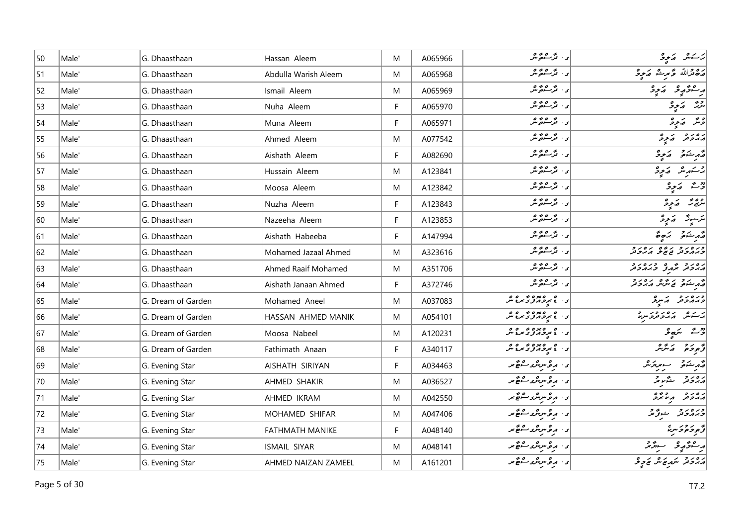| 50 | Male' | G. Dhaasthaan      | Hassan Aleem           | M         | A065966 | ى بۇرمۇش                                            |                                                                                                                |
|----|-------|--------------------|------------------------|-----------|---------|-----------------------------------------------------|----------------------------------------------------------------------------------------------------------------|
| 51 | Male' | G. Dhaasthaan      | Abdulla Warish Aleem   | M         | A065968 | ى ئۇسىۋېتر                                          | مَصْحَدِ اللّهَ عَسِيْهُ مَعِيقَ                                                                               |
| 52 | Male' | G. Dhaasthaan      | Ismail Aleem           | M         | A065969 | ى بۇرمۇش                                            | برحتى في مَرِي                                                                                                 |
| 53 | Male' | G. Dhaasthaan      | Nuha Aleem             | F         | A065970 | ى بۇرەپچەر                                          | $rac{1}{2}$                                                                                                    |
| 54 | Male' | G. Dhaasthaan      | Muna Aleem             | F         | A065971 | ى بۇرھۇش                                            | وتر المعرو                                                                                                     |
| 55 | Male' | G. Dhaasthaan      | Ahmed Aleem            | M         | A077542 | ى بۇرھۇش                                            | أرور وأروفه                                                                                                    |
| 56 | Male' | G. Dhaasthaan      | Aishath Aleem          | F         | A082690 | ى بىر شەھرىش                                        | أقهر مشتمر أتمر وكالحر                                                                                         |
| 57 | Male' | G. Dhaasthaan      | Hussain Aleem          | M         | A123841 | ى بۇرمۇش                                            | جە سەر ھەرج<br>سارىسى ھەرج                                                                                     |
| 58 | Male' | G. Dhaasthaan      | Moosa Aleem            | ${\sf M}$ | A123842 | ى بۇرمۇش                                            | الرقم المربود                                                                                                  |
| 59 | Male' | G. Dhaasthaan      | Nuzha Aleem            | F         | A123843 | ى ئۇسىۋىتر                                          | لترج ثم أركب وكالحر                                                                                            |
| 60 | Male' | G. Dhaasthaan      | Nazeeha Aleem          | F         | A123853 | ى بۇرمۇش                                            | لترسور كالمحرو                                                                                                 |
| 61 | Male' | G. Dhaasthaan      | Aishath Habeeba        | F         | A147994 | ى بۇرھۇش                                            | مەينى ئەھ                                                                                                      |
| 62 | Male' | G. Dhaasthaan      | Mohamed Jazaal Ahmed   | M         | A323616 | ى بۇرھۇش                                            | כנסג כ"ג שם "גסג כ"<br>ב"ג הבית "ב"ש ב"ה הבית                                                                  |
| 63 | Male' | G. Dhaasthaan      | Ahmed Raaif Mohamed    | M         | A351706 | ى بۇرھۇش                                            | גפנג האתר בגבנב                                                                                                |
| 64 | Male' | G. Dhaasthaan      | Aishath Janaan Ahmed   | F         | A372746 | ى بۇرھۇش                                            | م مشور و براه د در د                                                                                           |
| 65 | Male' | G. Dream of Garden | Mohamed Aneel          | M         | A037083 | ه مصره ۶۵ مه می<br>د ، نامیر <i>حراری مر</i> نامگر  | ورەرو كەرگە                                                                                                    |
| 66 | Male' | G. Dream of Garden | HASSAN AHMED MANIK     | M         | A054101 | ه په وموه د وه.<br>د ۱۰ مرد <i>مرد و د مر</i> و مگر | برسك مصرور مرد                                                                                                 |
| 67 | Male' | G. Dream of Garden | Moosa Nabeel           | M         | A120231 | ى ، ، ، ەيرەر ، دە بەر<br>ئ ، ، ئېرچەر تى تە تە بىر | ارْبٌ سَهِ وْ                                                                                                  |
| 68 | Male' | G. Dream of Garden | Fathimath Anaan        | F         | A340117 | ى ، ، ، ەيرەر <i>و ئەرە بەر</i>                     | قوم مشر                                                                                                        |
| 69 | Male' | G. Evening Star    | AISHATH SIRIYAN        | F         | A034463 | ى برۇس ئىر شۇم ئىر                                  | ومشاه سعدت                                                                                                     |
| 70 | Male' | G. Evening Star    | AHMED SHAKIR           | ${\sf M}$ | A036527 | ى مۇسرىئى شۇنجىر<br>مەم                             | رەرد شەر                                                                                                       |
| 71 | Male' | G. Evening Star    | AHMED IKRAM            | M         | A042550 | ى برۇس سىر ئىقمىر                                   | ره رو در دره در در در کار در کار در کرد کرد که در کار در کار در کار در کار در کار در در کار در کار در کار در ک |
| 72 | Male' | G. Evening Star    | MOHAMED SHIFAR         | ${\sf M}$ | A047406 | ى برۇسرىئرى كەنتى بىر                               | ورەرو ھۆتر                                                                                                     |
| 73 | Male' | G. Evening Star    | <b>FATHMATH MANIKE</b> | F         | A048140 | ى برۇسرىئى كەنتىم                                   | ا تو بر د د سره<br>اگر بر حرم سره                                                                              |
| 74 | Male' | G. Evening Star    | <b>ISMAIL SIYAR</b>    | M         | A048141 | ی پروگر مرکز کے مقام                                | ر عۇر ئەرگە                                                                                                    |
| 75 | Male' | G. Evening Star    | AHMED NAIZAN ZAMEEL    | ${\sf M}$ | A161201 | ی پروگر مرکز کے مخ                                  | أرود تر شهر بر سي الله بر بر الله                                                                              |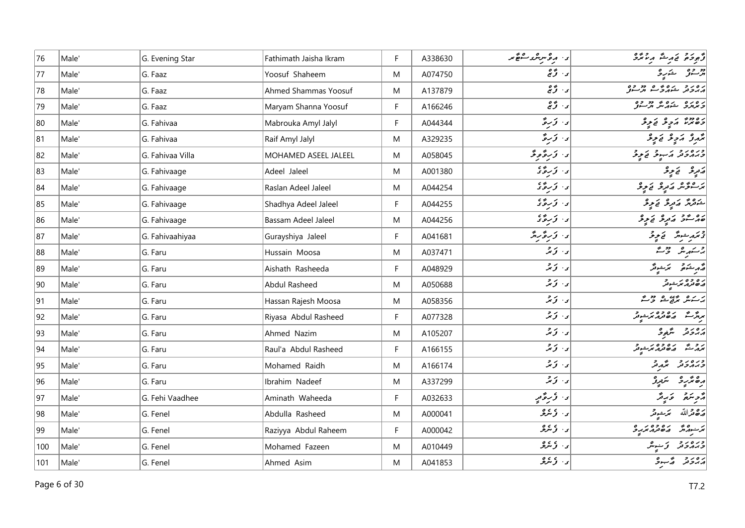| 76  | Male' | G. Evening Star  | Fathimath Jaisha Ikram | F         | A338630 | ء سره سر سرعت سقیم    | قهوده فارتقه مراملى                                                                                                                                                                                                              |
|-----|-------|------------------|------------------------|-----------|---------|-----------------------|----------------------------------------------------------------------------------------------------------------------------------------------------------------------------------------------------------------------------------|
| 77  | Male' | G. Faaz          | Yoosuf Shaheem         | M         | A074750 | ى بۇ ئ                | دو وه<br>در سور شوره                                                                                                                                                                                                             |
| 78  | Male' | G. Faaz          | Ahmed Shammas Yoosuf   | M         | A137879 | ى بە ئۇنج             | رەر دەرە دەرە                                                                                                                                                                                                                    |
| 79  | Male' | G. Faaz          | Maryam Shanna Yoosuf   | F         | A166246 | د . گرمج              | ره ره ده مه دو وه                                                                                                                                                                                                                |
| 80  | Male' | G. Fahivaa       | Mabrouka Amyl Jalyl    | F         | A044344 | اء · قررةٌ            | $\frac{2}{3}$                                                                                                                                                                                                                    |
| 81  | Male' | G. Fahivaa       | Raif Amyl Jalyl        | M         | A329235 | ى كەنبىرى             | بممرز كموثر فيوثر                                                                                                                                                                                                                |
| 82  | Male' | G. Fahivaa Villa | MOHAMED ASEEL JALEEL   | M         | A058045 | ء وَرِءٌ وِءٌ         | ورەرو كەسوگە ئەرگ                                                                                                                                                                                                                |
| 83  | Male' | G. Fahivaage     | Adeel Jaleel           | ${\sf M}$ | A001380 | ى بە تۇرگەنى          | ړنږی نځ یږی<br>ډنږی نځ یږی نځ یږی                                                                                                                                                                                                |
| 84  | Male' | G. Fahivaage     | Raslan Adeel Jaleel    | ${\sf M}$ | A044254 | <sub>ى</sub> ئۆرگەنى  |                                                                                                                                                                                                                                  |
| 85  | Male' | G. Fahivaage     | Shadhya Adeel Jaleel   | F         | A044255 | ، ئەر <i>گە</i> ؟     | ره د برو<br>شوتره کرتری تحجی                                                                                                                                                                                                     |
| 86  | Male' | G. Fahivaage     | Bassam Adeel Jaleel    | M         | A044256 | ء کی ریمی             | ره دو کمپری تاریخ                                                                                                                                                                                                                |
| 87  | Male' | G. Fahivaahiyaa  | Gurayshiya Jaleel      | F         | A041681 | ، ئەرەمەد             | وير<br>ويرم شور في المح محرمة                                                                                                                                                                                                    |
| 88  | Male' | G. Faru          | Hussain Moosa          | M         | A037471 | ى كەنتى               | ج سكر مثل المحر المحمد                                                                                                                                                                                                           |
| 89  | Male' | G. Faru          | Aishath Rasheeda       | F         | A048929 | ی۰ توتر               | و<br>مەرشىمى ئىرشىرىگە                                                                                                                                                                                                           |
| 90  | Male' | G. Faru          | Abdul Rasheed          | M         | A050688 | ى - قريمٌ             | ره وه ر<br>په <i>ه ترو پر ش</i> وتر                                                                                                                                                                                              |
| 91  | Male' | G. Faru          | Hassan Rajesh Moosa    | ${\sf M}$ | A058356 | ى - قەتتى             | ير سەش ئۇي ھەم ئۆزگ                                                                                                                                                                                                              |
| 92  | Male' | G. Faru          | Riyasa Abdul Rasheed   | F         | A077328 | ى - قەتتى             | بروگ مەھەرمە بىر شوتىر<br>بىر بىر ئىستىر بىر بىر                                                                                                                                                                                 |
| 93  | Male' | G. Faru          | Ahmed Nazim            | M         | A105207 | ى - قەتتى             | ره در شهره<br>اربرد شهره                                                                                                                                                                                                         |
| 94  | Male' | G. Faru          | Raul'a Abdul Rasheed   | F         | A166155 | ی- تخ <sup>م</sup> گر | ر د د ده ده در د د کلیدا د کلیدا به در است.<br>امروز شده او ها در و مرکز او در                                                                                                                                                   |
| 95  | Male' | G. Faru          | Mohamed Raidh          | ${\sf M}$ | A166174 | ى - قەتتى             | ورەر د در                                                                                                                                                                                                                        |
| 96  | Male' | G. Faru          | Ibrahim Nadeef         | ${\sf M}$ | A337299 | ی۰ توتر               | برەنجەر ئەسكىرى                                                                                                                                                                                                                  |
| 97  | Male' | G. Fehi Vaadhee  | Aminath Waheeda        | F         | A032633 | ء کو روٌ مو           | أأدمن وبرتر                                                                                                                                                                                                                      |
| 98  | Male' | G. Fenel         | Abdulla Rasheed        | ${\sf M}$ | A000041 | ى كۆشۈگ               | أرة فرالله تمرجونر                                                                                                                                                                                                               |
| 99  | Male' | G. Fenel         | Raziyya Abdul Raheem   | F         | A000042 | ى كۆرگۈ               | برسور رودور و                                                                                                                                                                                                                    |
| 100 | Male' | G. Fenel         | Mohamed Fazeen         | M         | A010449 | ء وګرو                | ورەرد تەسپىر                                                                                                                                                                                                                     |
| 101 | Male' | G. Fenel         | Ahmed Asim             | ${\sf M}$ | A041853 | ى كۆرگۈ               | גם ג'ב ב' הייברי ביידי הייברי ברי הייברי ברי הייברי ברי הייברי ברי הייברי ברי הייברי ברי הייברי ברי הייברי ביי<br>הייבר ברי הייברי הייברי ברי הייברי ברי הייברי ברי הייברי ברי הייבר ברי הייבר ברי הייבר ברי הייבר ברי הייברי בר |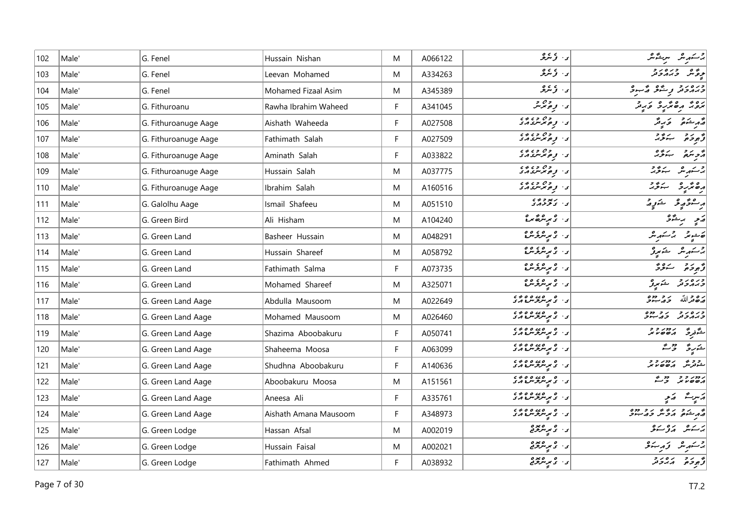| 102 | Male' | G. Fenel             | Hussain Nishan        | M  | A066122 | ى كۆشۈپى                                                                      | 2سكىرىكە سېشكىلگە                                            |
|-----|-------|----------------------|-----------------------|----|---------|-------------------------------------------------------------------------------|--------------------------------------------------------------|
| 103 | Male' | G. Fenel             | Leevan Mohamed        | M  | A334263 | ى كۆرگۈ                                                                       | وخاص وره دو                                                  |
| 104 | Male' | G. Fenel             | Mohamed Fizaal Asim   | M  | A345389 | ى كۆرگۈ                                                                       | ورەرو رېئو شبرو                                              |
| 105 | Male' | G. Fithuroanu        | Rawha Ibrahim Waheed  | F  | A341045 | ى پەرەپر                                                                      | $\frac{2}{3}$                                                |
| 106 | Male' | G. Fithuroanuge Aage | Aishath Waheeda       | F  | A027508 | وه وه و ، و ،<br>د · نو ه مرسمد در د                                          | أممر شدة كالرقر                                              |
| 107 | Male' | G. Fithuroanuge Aage | Fathimath Salah       | F  | A027509 | $\frac{c}{c}$ , $\frac{c}{c}$ , $\frac{c}{c}$ , $\frac{c}{c}$ , $\frac{c}{c}$ | و محمد المستوفر                                              |
| 108 | Male' | G. Fithuroanuge Aage | Aminath Salah         | F  | A033822 | و ه و ه و و و و و<br>د ۰ نو ه مرسرد از د                                      | ۇ ئەسىم ئىسىم                                                |
| 109 | Male' | G. Fithuroanuge Aage | Hussain Salah         | M  | A037775 | وه وه و ، و ،<br>د ۰ <b>وه بر</b> سمداری                                      | 23 مىكەن بەلىك                                               |
| 110 | Male' | G. Fithuroanuge Aage | Ibrahim Salah         | M  | A160516 | وه وه و ، و ،<br>د ۰ <b>وه بر</b> سمداری                                      | أرە ئۆر ئەيدىر                                               |
| 111 | Male' | G. Galolhu Aage      | Ismail Shafeeu        | M  | A051510 | ر پر د د » ،<br>د ۰ کامروندی                                                  | بر شۇن ئى ئىشتى ئىشتى ئە                                     |
| 112 | Male' | G. Green Bird        | Ali Hisham            | M  | A104240 | ى ئەسپەرگە ئىس                                                                | أركمني بالمشاكر                                              |
| 113 | Male' | G. Green Land        | Basheer Hussain       | M  | A048291 | و . و مرهوموهو                                                                | ەھىيەتى بۇسىرىد                                              |
| 114 | Male' | G. Green Land        | Hussain Shareef       | M  | A058792 | ى ئۇ ئېرىكرى ئىرى                                                             | 2سىمبرىتىن ھەمبرى<br>                                        |
| 115 | Male' | G. Green Land        | Fathimath Salma       | F  | A073735 | ى ئۇ ئېرىكرىگە ئا                                                             | و برو دوو                                                    |
| 116 | Male' | G. Green Land        | Mohamed Shareef       | M  | A325071 | ى ئۇ ئېرىكرىگە ئا                                                             | وره دو شهرو                                                  |
| 117 | Male' | G. Green Land Aage   | Abdulla Mausoom       | M  | A022649 | ی که عرصر وه وه و<br>کالمحمد مسر پیش کرد ک                                    | رە دالله دو دوه                                              |
| 118 | Male' | G. Green Land Aage   | Mohamed Mausoom       | M  | A026460 | ه د ه مر وړه وه و و<br>د ۶ کم پرسربوسره اړو                                   | כנסנכ נכס<br><i>בג</i> מכ <mark>ט כ</mark> מי <del>י</del> כ |
| 119 | Male' | G. Green Land Aage   | Shazima Aboobakuru    | F. | A050741 | ی که عرصوصوری<br>ت                                                            | 77/77/<br> شَدَّفرِتَر                                       |
| 120 | Male' | G. Green Land Aage   | Shaheema Moosa        | F  | A063099 | ی که عرصر وه وه و<br>د که عرصر عرض از د                                       | ڪرچ جي جي                                                    |
| 121 | Male' | G. Green Land Aage   | Shudhna Aboobakuru    | F  | A140636 | ی که موسوع شده و دی<br>که سی موسوع شده                                        | נדמי כר<br>גם סיטיב<br>شەقرىتر                               |
| 122 | Male' | G. Green Land Aage   | Aboobakuru Moosa      | M  | A151561 | ى سى مەھمەت ھەم ئەت<br>ئ                                                      | 22220000                                                     |
| 123 | Male' | G. Green Land Aage   | Aneesa Ali            | F. | A335761 | ى سى مەھمەت ھەم ئەت<br>ئ                                                      | پرسرے کیمی                                                   |
| 124 | Male' | G. Green Land Aage   | Aishath Amana Mausoom | F  | A348973 | ی که عرصوصوری دی<br>کالمحمد عرض مرکز                                          |                                                              |
| 125 | Male' | G. Green Lodge       | Hassan Afsal          | M  | A002019 | ى - ئى م <sub>ېر</sub> ىرى <i>دە</i>                                          | ىز سەش بەر سەنجە                                             |
| 126 | Male' | G. Green Lodge       | Hussain Faisal        | M  | A002021 | ى گە ئەسترىقى                                                                 | يزخيرش تصطبر                                                 |
| 127 | Male' | G. Green Lodge       | Fathimath Ahmed       | F  | A038932 | ى گە ئوپترىۋە                                                                 | و ده ده ده د                                                 |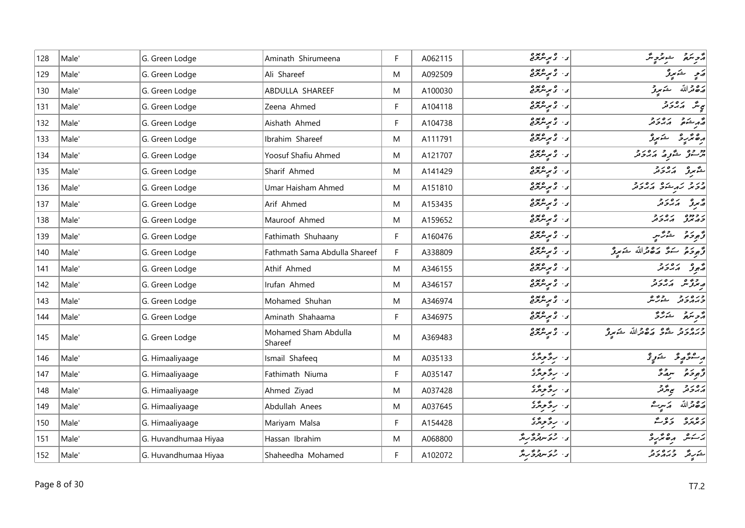| 128 | Male' | G. Green Lodge       | Aminath Shirumeena              | F         | A062115 | <sub>ى:</sub> ، ئ <sub>ە مو</sub> سرىز ق         | أأرجع المستورثة                    |
|-----|-------|----------------------|---------------------------------|-----------|---------|--------------------------------------------------|------------------------------------|
| 129 | Male' | G. Green Lodge       | Ali Shareef                     | M         | A092509 | <sub>ى:</sub> ، ئ <sub>ە مو</sub> سرىزى          | ړې خومړنی<br>مړينې                 |
| 130 | Male' | G. Green Lodge       | ABDULLA SHAREEF                 | M         | A100030 | <sub>ى:</sub> ، ئ <sub>ە مو</sub> بىرى <i>تى</i> | ر دی تر اللّه شخص <i>ور</i>        |
| 131 | Male' | G. Green Lodge       | Zeena Ahmed                     | F.        | A104118 | <sub>ى:</sub> ، ئ <sub>ە مو</sub> يىرى ق         | پې شکړې کړه <i>د د</i>             |
| 132 | Male' | G. Green Lodge       | Aishath Ahmed                   | F.        | A104738 | <sub>ى:</sub> گ <sub>ە مو</sub> سرىرى            | أحدث منحو المراكب                  |
| 133 | Male' | G. Green Lodge       | Ibrahim Shareef                 | M         | A111791 | <sub>ى:</sub> ، ئ <sub>ە مو</sub> سرىز ق         | أرەنزىر ئىنور                      |
| 134 | Male' | G. Green Lodge       | Yoosuf Shafiu Ahmed             | M         | A121707 | <sub>ى گ</sub> ېر موروم                          | מ כף בת גם גם גב                   |
| 135 | Male' | G. Green Lodge       | Sharif Ahmed                    | M         | A141429 | ر و پر مربر ده.<br> - و پر پر بر ده.             | شمرو رورو                          |
| 136 | Male' | G. Green Lodge       | Umar Haisham Ahmed              | M         | A151810 | <sub>ى:</sub> <sub>ۇ مو</sub> بىرى <i>تى</i>     | ور و که شو اور در و                |
| 137 | Male' | G. Green Lodge       | Arif Ahmed                      | M         | A153435 | ى - مى مىر ھەيدە<br>ي                            | أشعروه أتروح والمحمد               |
| 138 | Male' | G. Green Lodge       | Mauroof Ahmed                   | M         | A159652 | ى گە ئوسرىۋە                                     | י כמים ניסיו ב<br>המיישוב ממכינ    |
| 139 | Male' | G. Green Lodge       | Fathimath Shuhaany              | F         | A160476 | <br>  د ، د مړسر د و                             | قهوزة شرته                         |
| 140 | Male' | G. Green Lodge       | Fathmath Sama Abdulla Shareef   | F         | A338809 | ء ، و پر پرچرمح                                  | قرج حرح سوفر برە قرالله خوبرو      |
| 141 | Male' | G. Green Lodge       | Athif Ahmed                     | M         | A346155 | ء ، و پر عربومح                                  | أشهو بره دو                        |
| 142 | Male' | G. Green Lodge       | Irufan Ahmed                    | M         | A346157 | <sub>ى:</sub> گ <sub>ە مو</sub> سرىرى            | و دوه ده دورو                      |
| 143 | Male' | G. Green Lodge       | Mohamed Shuhan                  | M         | A346974 | <sub>ى:</sub> ، ئ <sub>ە مو</sub> سرىز ق         | ورەر دەپرە<br><i>دىدە</i> رەر شەرس |
| 144 | Male' | G. Green Lodge       | Aminath Shahaama                | F.        | A346975 | ء ، و پر پرچرمح                                  | أثرم تتوريح                        |
| 145 | Male' | G. Green Lodge       | Mohamed Sham Abdulla<br>Shareef | ${\sf M}$ | A369483 | ء ، و پر عربوق                                   | ورەرو مەدەرەتماللە شەمرو           |
| 146 | Male' | G. Himaaliyaage      | Ismail Shafeeq                  | M         | A035133 | ى سەھمەتىرى<br>سىرىپە ئەسىر                      | أبر سادة مريح المستوريج            |
| 147 | Male' | G. Himaaliyaage      | Fathimath Niuma                 | F         | A035147 | ى سەھمەتىرى<br>سىر سەھرىرى                       | توجود سردة                         |
| 148 | Male' | G. Himaaliyaage      | Ahmed Ziyad                     | M         | A037428 | ى سەھمەتىرى<br>سىر سەھرىرى                       | د د د د پروتر<br>  د بر د تر س     |
| 149 | Male' | G. Himaaliyaage      | Abdullah Anees                  | M         | A037645 | ی رگوهی<br>رگوهی                                 | رچمترالله ك <i>رسو</i> ر           |
| 150 | Male' | G. Himaaliyaage      | Mariyam Malsa                   | F         | A154428 | ى رۇپۇرۇ                                         | دەرە بەھ ش                         |
| 151 | Male' | G. Huvandhumaa Hiyaa | Hassan Ibrahim                  | M         | A068800 | ى سىمۇسىترۇپ                                     | برسكش مرەمجرىرى                    |
| 152 | Male' | G. Huvandhumaa Hiyaa | Shaheedha Mohamed               | F         | A102072 | ى بەر ئەكەنلەرگەنگە                              | شریر وره دو                        |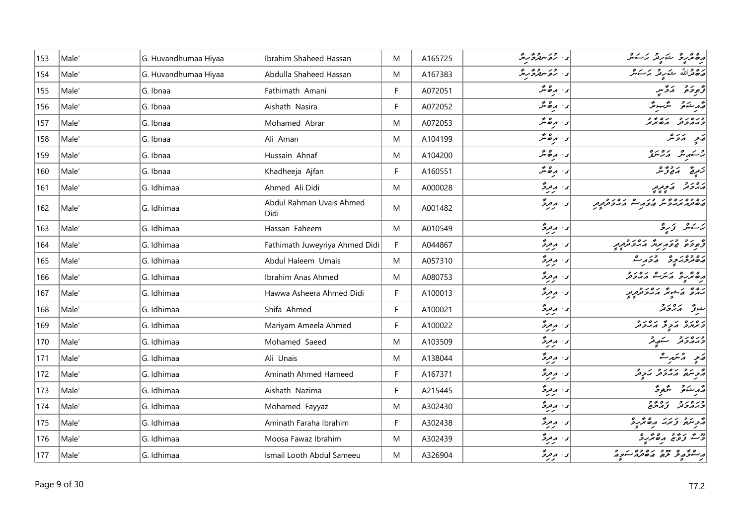| 153 | Male' | G. Huvandhumaa Hiyaa | Ibrahim Shaheed Hassan           | ${\sf M}$ | A165725 | ء ، رئە ئىر ئەرگە ئەرگە             | رەقرىر ئىن ئەس                                                                                                    |
|-----|-------|----------------------|----------------------------------|-----------|---------|-------------------------------------|-------------------------------------------------------------------------------------------------------------------|
| 154 | Male' | G. Huvandhumaa Hiyaa | Abdulla Shaheed Hassan           | M         | A167383 | ى ئەر ئەر ئەر ئەر                   | أرە قراللە ھەر قر بر كەش                                                                                          |
| 155 | Male' | G. Ibnaa             | Fathimath Amani                  | F         | A072051 | ای مرگ<br>—                         | أزودكم أرؤس                                                                                                       |
| 156 | Male' | G. Ibnaa             | Aishath Nasira                   | F         | A072052 | ى بەرھىگە                           | ۇرمىشقى ئىگە ئىگە                                                                                                 |
| 157 | Male' | G. Ibnaa             | Mohamed Abrar                    | M         | A072053 | ی مرگ                               | כנסנכ נסמב                                                                                                        |
| 158 | Male' | G. Ibnaa             | Ali Aman                         | M         | A104199 | $\overline{\tilde{z}}_{\sigma}^{0}$ | $\begin{bmatrix} 0 & 0 & 0 \\ 0 & 0 & 0 \\ 0 & 0 & 0 \end{bmatrix}$                                               |
| 159 | Male' | G. Ibnaa             | Hussain Ahnaf                    | M         | A104200 | $rac{20}{100} - 5$                  | رحم محمد مدارس محمد المراجعة المحمد المسترجة المراجعة المسترجة المسترجة المسترجة المسترجة المسترجة ا<br>المسترجمة |
| 160 | Male' | G. Ibnaa             | Khadheeja Ajfan                  | F         | A160551 | ای م <b>ەشر</b>                     | زَمِيعٌ دَءُوَّشَ                                                                                                 |
| 161 | Male' | G. Idhimaa           | Ahmed Ali Didi                   | M         | A000028 | ای پرورځ<br><u>است</u>              | ره در<br>درورو گوترتر                                                                                             |
| 162 | Male' | G. Idhimaa           | Abdul Rahman Uvais Ahmed<br>Didi | ${\sf M}$ | A001482 | د ۱۰ مرمردگر<br>  د ۱۰ مرمردگر      | ג 2010 ב 72 כ 72 ב 1010.<br>גשנג גגבית גפג – גגבנקנק                                                              |
| 163 | Male' | G. Idhimaa           | Hassan Faheem                    | M         | A010549 | ء سم مری <del>ر</del><br> -         | پرستانلر او کرچاری                                                                                                |
| 164 | Male' | G. Idhimaa           | Fathimath Juweyriya Ahmed Didi   | F         | A044867 | ى بەر مەنىزى<br>مەنبەر              | توجده ودر بر مدد ورود                                                                                             |
| 165 | Male' | G. Idhimaa           | Abdul Haleem Umais               | M         | A057310 | ی- پرتروٌ<br> _______               | גם כפג' כם הבגם                                                                                                   |
| 166 | Male' | G. Idhimaa           | Ibrahim Anas Ahmed               | ${\sf M}$ | A080753 | ا ی ۱۰ مرفردگا<br>است است           |                                                                                                                   |
| 167 | Male' | G. Idhimaa           | Hawwa Asheera Ahmed Didi         | F         | A100013 | ى · برىرى<br>ك                      | رە بە كەن ئەرە ئەرەپر                                                                                             |
| 168 | Male' | G. Idhimaa           | Shifa Ahmed                      | F         | A100021 | ای برورده<br>است                    | شوق كم يره رو                                                                                                     |
| 169 | Male' | G. Idhimaa           | Mariyam Ameela Ahmed             | F         | A100022 | ء · برىردٌ<br>مرم                   | ב בחבר הביצי המבע                                                                                                 |
| 170 | Male' | G. Idhimaa           | Mohamed Saeed                    | M         | A103509 | ی۰ پرترنگ<br>مربر                   | ورەرو سەرۇ                                                                                                        |
| 171 | Male' | G. Idhimaa           | Ali Unais                        | M         | A138044 |                                     | أمجمع مرتم متعرب                                                                                                  |
| 172 | Male' | G. Idhimaa           | Aminath Ahmed Hameed             | F         | A167371 | ء ۱ مرمرگ <sup>2</sup><br>مرم       | הקיים המכת הקת                                                                                                    |
| 173 | Male' | G. Idhimaa           | Aishath Nazima                   | F         | A215445 | ء · برىرى<br>مەم                    | أقمر يشكر تستنجر                                                                                                  |
| 174 | Male' | G. Idhimaa           | Mohamed Fayyaz                   | ${\sf M}$ | A302430 |                                     | כנסג בנמת ב                                                                                                       |
| 175 | Male' | G. Idhimaa           | Aminath Faraha Ibrahim           | F         | A302438 |                                     | أزويته وتمله وكالرو                                                                                               |
| 176 | Male' | G. Idhimaa           | Moosa Fawaz Ibrahim              | M         | A302439 | ی- پرتونڅ<br>  <u>سر مر</u>         | ייל ניין וסתיק                                                                                                    |
| 177 | Male' | G. Idhimaa           | Ismail Looth Abdul Sameeu        | ${\sf M}$ | A326904 | ی٠ پرترنگ<br>ک                      | د مشركة و ده ده ده در د                                                                                           |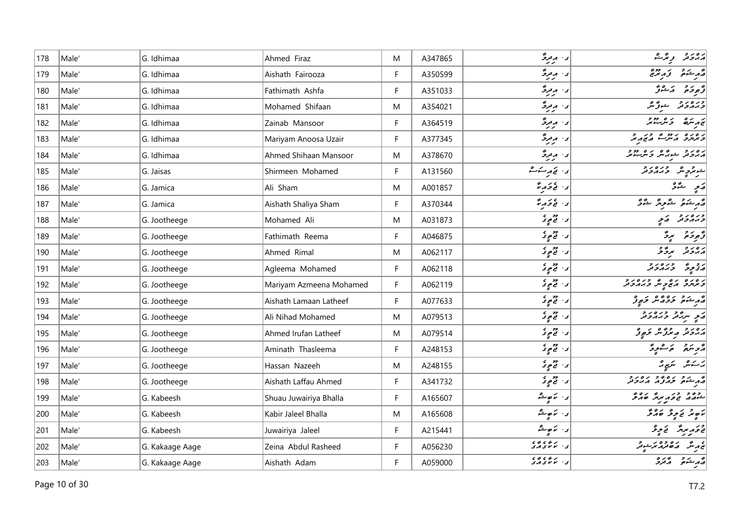| 178 | Male' | G. Idhimaa      | Ahmed Firaz             | M           | A347865 | ى بە مەنەرىچ<br>مەم                                                       | أرەر بەرشى                                                                                                                                                                                                                       |
|-----|-------|-----------------|-------------------------|-------------|---------|---------------------------------------------------------------------------|----------------------------------------------------------------------------------------------------------------------------------------------------------------------------------------------------------------------------------|
| 179 | Male' | G. Idhimaa      | Aishath Fairooza        | F           | A350599 | ی۰ پرترنگ<br>مر <sub>ک</sub> ر                                            | ومرشو زرج                                                                                                                                                                                                                        |
| 180 | Male' | G. Idhimaa      | Fathimath Ashfa         | $\mathsf F$ | A351033 | ی۰ پرترنگ<br>مربر                                                         | أوُجوحر أرشوق                                                                                                                                                                                                                    |
| 181 | Male' | G. Idhimaa      | Mohamed Shifaan         | M           | A354021 | ء · مرمردٌ<br>مرمر                                                        | ورەرو ھۆش<br><i>دىد</i> مەدىر ھۆش                                                                                                                                                                                                |
| 182 | Male' | G. Idhimaa      | Zainab Mansoor          | F           | A364519 | ی۰ پرترنگ<br>مر <sub>ک</sub> ر                                            | ىر ھەجەم<br>ىز سىھ                                                                                                                                                                                                               |
| 183 | Male' | G. Idhimaa      | Mariyam Anoosa Uzair    | $\mathsf F$ | A377345 |                                                                           | ו סוס וחדש בן ב                                                                                                                                                                                                                  |
| 184 | Male' | G. Idhimaa      | Ahmed Shihaan Mansoor   | M           | A378670 | ی۰ پرترنگ<br>مر <sub>ک</sub> ر                                            | ره رو شوره و ده ودو<br>پرپروتر شورگس و سرجعر                                                                                                                                                                                     |
| 185 | Male' | G. Jaisas       | Shirmeen Mohamed        | $\mathsf F$ | A131560 | ى ئەرىسىگ                                                                 | مشور محدد المستحدة                                                                                                                                                                                                               |
| 186 | Male' | G. Jamica       | Ali Sham                | M           | A001857 | <br>  ئ قى خرمرىد                                                         | $rac{1}{5}$ $rac{1}{5}$ $rac{1}{5}$                                                                                                                                                                                              |
| 187 | Male' | G. Jamica       | Aishath Shaliya Sham    | F           | A370344 | - غځوړ ته                                                                 |                                                                                                                                                                                                                                  |
| 188 | Male' | G. Jootheege    | Mohamed Ali             | M           | A031873 | ود مج<br>ی قیمچونگ                                                        | ورەرو كەي                                                                                                                                                                                                                        |
| 189 | Male' | G. Jootheege    | Fathimath Reema         | F           | A046875 | و د جمعوی<br>د کاهوی                                                      | و مر د<br>اقرامو حرم<br>ىبرىتى                                                                                                                                                                                                   |
| 190 | Male' | G. Jootheege    | Ahmed Rimal             | M           | A062117 | ود م<br>ک فع محکمت                                                        | رەر دىگر                                                                                                                                                                                                                         |
| 191 | Male' | G. Jootheege    | Agleema Mohamed         | $\mathsf F$ | A062118 | د به ع<br>ی قیمچی                                                         | גל <sub>ב</sub> ל כלסקל                                                                                                                                                                                                          |
| 192 | Male' | G. Jootheege    | Mariyam Azmeena Mohamed | F           | A062119 | د به ع<br>ی قیمچی                                                         | נ פנס גם ביית כנסגב                                                                                                                                                                                                              |
| 193 | Male' | G. Jootheege    | Aishath Lamaan Latheef  | $\mathsf F$ | A077633 | و ده<br>کالج محوک                                                         | وأرشكني كالملاه كالجوالي                                                                                                                                                                                                         |
| 194 | Male' | G. Jootheege    | Ali Nihad Mohamed       | M           | A079513 | د ده<br>کارې هم ک                                                         | أثمني سرشمر ورورد                                                                                                                                                                                                                |
| 195 | Male' | G. Jootheege    | Ahmed Irufan Latheef    | M           | A079514 | ود ج<br>ي- قع جي پي                                                       | برودي ويرؤيما ترجو                                                                                                                                                                                                               |
| 196 | Male' | G. Jootheege    | Aminath Thasleema       | F           | A248153 | وو ۽<br>ي- قع جو ي                                                        | ومحر ينكفى وكالمعرفة                                                                                                                                                                                                             |
| 197 | Male' | G. Jootheege    | Hassan Nazeeh           | M           | A248155 | د به ع<br>ی قیمچی                                                         | يز کشاه استر پر شرح کر                                                                                                                                                                                                           |
| 198 | Male' | G. Jootheege    | Aishath Laffau Ahmed    | F           | A341732 | د به ع<br>ی قیمچی                                                         | ه مشوه ده ده ده دو.<br>په مشوه محمد د مدرس                                                                                                                                                                                       |
| 199 | Male' | G. Kabeesh      | Shuau Juwairiya Bhalla  | F           | A165607 | ى ئەھىشە                                                                  | 200 22198 200                                                                                                                                                                                                                    |
| 200 | Male' | G. Kabeesh      | Kabir Jaleel Bhalla     | M           | A165608 | ى ئەھمىشە                                                                 | رَەپرْ يَبِرِوْ ئەدگ                                                                                                                                                                                                             |
| 201 | Male' | G. Kabeesh      | Juwairiya Jaleel        | F.          | A215441 | ى ئەھىشە                                                                  |                                                                                                                                                                                                                                  |
| 202 | Male' | G. Kakaage Aage | Zeina Abdul Rasheed     | F           | A056230 | 59550.5                                                                   | ة كور مركز المحرور المحرور المحرور المحرور المحرور المحرور المحرور المحرور المحرور المحرور المحرور المحرور الم<br>المحرور المحرور المحرور المحرور المحرور المحرور المحرور المحرور المحرور المحرور المحرور المحرور المحرور المحرو |
| 203 | Male' | G. Kakaage Aage | Aishath Adam            | F           | A059000 | $\begin{array}{ccccc} c & c & c & c & c \\ s & s & s & s & s \end{array}$ | و در دره<br>مهرشتنی مرمز                                                                                                                                                                                                         |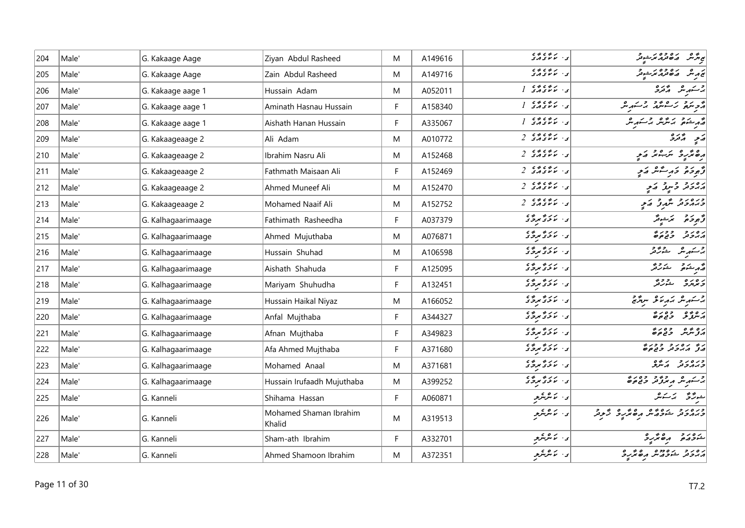| 204 | Male' | G. Kakaage Aage    | Ziyan Abdul Rasheed              | ${\sf M}$ | A149616 |                                                                           | ے بڑ سر میں محمد بھی محمد میں محمد اللہ اللہ محمد اللہ محمد اللہ محمد اللہ محمد اللہ محمد اللہ محمد اللہ محمد<br>اسمبر محمد اللہ محمد اللہ محمد اللہ محمد اللہ محمد اللہ محمد اللہ محمد اللہ محمد اللہ محمد اللہ محمد اللہ محمد |
|-----|-------|--------------------|----------------------------------|-----------|---------|---------------------------------------------------------------------------|---------------------------------------------------------------------------------------------------------------------------------------------------------------------------------------------------------------------------------|
| 205 | Male' | G. Kakaage Aage    | Zain Abdul Rasheed               | M         | A149716 | $\begin{array}{ccccc} c & c & c & c & c \\ s & s & s & s & s \end{array}$ | ىم مى مەھ مەم مى شوقى                                                                                                                                                                                                           |
| 206 | Male' | G. Kakaage aage 1  | Hussain Adam                     | M         | A052011 | 159552.5                                                                  | رحم شهر محمده                                                                                                                                                                                                                   |
| 207 | Male' | G. Kakaage aage 1  | Aminath Hasnau Hussain           | F         | A158340 | 159552.5                                                                  | ۇرىرو رەپرە برىكىر                                                                                                                                                                                                              |
| 208 | Male' | G. Kakaage aage 1  | Aishath Hanan Hussain            | F         | A335067 | 159552.                                                                   | أور الشكرة الرائد والمستقر المراجل                                                                                                                                                                                              |
| 209 | Male' | G. Kakaageaage 2   | Ali Adam                         | M         | A010772 | 259556.5                                                                  | أەسم يورە                                                                                                                                                                                                                       |
| 210 | Male' | G. Kakaageaage 2   | Ibrahim Nasru Ali                | M         | A152468 | 259555.                                                                   | ړەندرو سرجاند ك                                                                                                                                                                                                                 |
| 211 | Male' | G. Kakaageaage 2   | Fathmath Maisaan Ali             | F         | A152469 | 259555.                                                                   | قهوجهم خهر شمر مي                                                                                                                                                                                                               |
| 212 | Male' | G. Kakaageaage 2   | Ahmed Muneef Ali                 | M         | A152470 | 259556.5                                                                  | ړه د و ترو ټر                                                                                                                                                                                                                   |
| 213 | Male' | G. Kakaageaage 2   | Mohamed Naaif Ali                | M         | A152752 | 259555.                                                                   | ورەرو شرۇ مۇ                                                                                                                                                                                                                    |
| 214 | Male' | G. Kalhagaarimaage | Fathimath Rasheedha              | F         | A037379 | ى سىمى ئىمەدىمى ئى                                                        | أَرْجِعَةً كَرَسُونَّر                                                                                                                                                                                                          |
| 215 | Male' | G. Kalhagaarimaage | Ahmed Mujuthaba                  | ${\sf M}$ | A076871 | ى سىمى ئىمى ئىمى ئىمى ئى                                                  | ره رح در دره<br>مدرس رق                                                                                                                                                                                                         |
| 216 | Male' | G. Kalhagaarimaage | Hussain Shuhad                   | ${\sf M}$ | A106598 | ى سىمىقى ئىرىتى<br>ئ                                                      | پرستہریش تحقیقی                                                                                                                                                                                                                 |
| 217 | Male' | G. Kalhagaarimaage | Aishath Shahuda                  | F         | A125095 | ى ئەرەپچە ئ                                                               | أوكم مشكوه المستشر والمحمد                                                                                                                                                                                                      |
| 218 | Male' | G. Kalhagaarimaage | Mariyam Shuhudha                 | F         | A132451 | ، ئەنزىم بىر <i>ۇ</i> ئ                                                   | ر ٥ ر ٥ ر ٥ و ۶<br>و بوبرو مشورتر                                                                                                                                                                                               |
| 219 | Male' | G. Kalhagaarimaage | Hussain Haikal Niyaz             | M         | A166052 | ، زره پروه<br>د اندونورون                                                 | بر سەر شەر ئەر ئەكتى ئىس ئىس                                                                                                                                                                                                    |
| 220 | Male' | G. Kalhagaarimaage | Anfal Mujthaba                   | F         | A344327 | ، زره پروه<br>د اندونورون                                                 | ر ه ده د و د د                                                                                                                                                                                                                  |
| 221 | Male' | G. Kalhagaarimaage | Afnan Mujthaba                   | F.        | A349823 | ى گەن ئەرەپىيە                                                            | ره ده وه رد<br>در ترس                                                                                                                                                                                                           |
| 222 | Male' | G. Kalhagaarimaage | Afa Ahmed Mujthaba               | F         | A371680 | ر ر ر ر ر ر ر .<br>د ۱ ماندگانبرگان                                       | $\begin{array}{ccc} \circ & \circ & \circ & \circ & \circ & \circ \\ \circ & \circ & \circ & \circ & \circ \end{array}$                                                                                                         |
| 223 | Male' | G. Kalhagaarimaage | Mohamed Anaal                    | ${\sf M}$ | A371681 | ى سىمىتى ئىرىگى ئى                                                        | ورەر دىپى                                                                                                                                                                                                                       |
| 224 | Male' | G. Kalhagaarimaage | Hussain Irufaadh Mujuthaba       | ${\sf M}$ | A399252 | ، ئەنزىر ئەرەپىيە ئەن<br>ئ                                                |                                                                                                                                                                                                                                 |
| 225 | Male' | G. Kanneli         | Shihama Hassan                   | F         | A060871 | ئ- ئەنگرىكرىنىيە                                                          | خارج كاركاش                                                                                                                                                                                                                     |
| 226 | Male' | G. Kanneli         | Mohamed Shaman Ibrahim<br>Khalid | ${\sf M}$ | A319513 | ء ، ئەنگەپكەر                                                             | وره دو دره وه و ه پرو شور                                                                                                                                                                                                       |
| 227 | Male' | G. Kanneli         | Sham-ath Ibrahim                 | F         | A332701 | <sub>ى</sub> ، ئەنگەپلۇمچە                                                | أشوره وه مه ده م                                                                                                                                                                                                                |
| 228 | Male' | G. Kanneli         | Ahmed Shamoon Ibrahim            | ${\sf M}$ | A372351 | <mark>ى - ئەنگەنل</mark> ۇم                                               | גם גם הסמס הם הם הים                                                                                                                                                                                                            |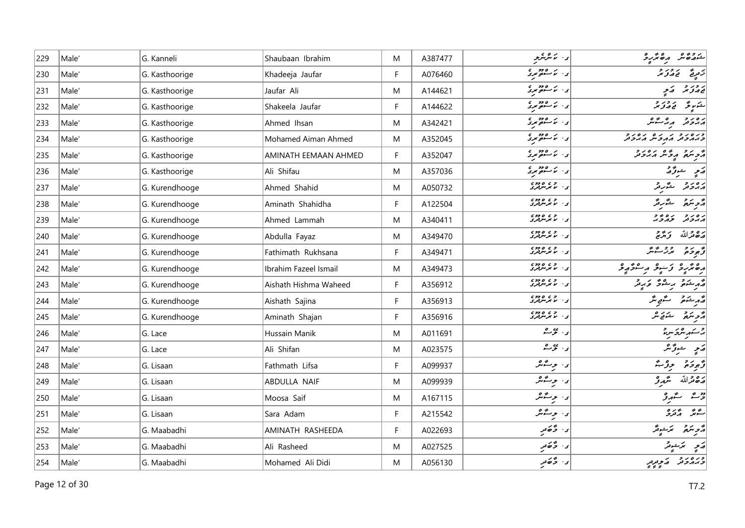| 229 | Male' | G. Kanneli     | Shaubaan Ibrahim      | M  | A387477 | ى - ئەنئەرىنى ئە                                                                                                                                                                                                                 | شروه مقررة                                  |
|-----|-------|----------------|-----------------------|----|---------|----------------------------------------------------------------------------------------------------------------------------------------------------------------------------------------------------------------------------------|---------------------------------------------|
| 230 | Male' | G. Kasthoorige | Khadeeja Jaufar       | F  | A076460 | ی که مشخصی محرک                                                                                                                                                                                                                  | أرَمِيعٌ فَهُوَ مُرْ                        |
| 231 | Male' | G. Kasthoorige | Jaufar Ali            | M  | A144621 | ر د ده ده<br>د ۱۰ ماسوم برد                                                                                                                                                                                                      | ي ور په کامي                                |
| 232 | Male' | G. Kasthoorige | Shakeela Jaufar       | F  | A144622 | ر د ده د د د د د کار د د کار د د د کار د د د د کار د د د کار د د کار د د کار د د کار د کار د کار د کار د کار د<br>د کار کار د کار د کار د کار د کار د کار د کار د کار د کار د کار د کار د کار د کار د کار د کار د کار د کار د کا | لمشروق الأمركز وكرائد                       |
| 233 | Male' | G. Kasthoorige | Ahmed Ihsan           | M  | A342421 | ر موجود ۽<br>ي- ماسڪو پوري                                                                                                                                                                                                       | أيه ورو المروث محمده                        |
| 234 | Male' | G. Kasthoorige | Mohamed Aiman Ahmed   | M  | A352045 | ر د ده د د د د د کار د د کار د د د کار د د د د کار د د د کار د د کار د د کار د د کار د کار د کار د کار د کار د<br>د کار کار د کار د کار د کار د کار د کار د کار د کار د کار د کار د کار د کار د کار د کار د کار د کار د کار د کا | כנסגב ג ג'ים גםגב<br>בג'יהכני, הקביית הגבני |
| 235 | Male' | G. Kasthoorige | AMINATH EEMAAN AHMED  | F  | A352047 | ر موجود و<br>د کاستوگیری                                                                                                                                                                                                         | הכית הכית המכת                              |
| 236 | Male' | G. Kasthoorige | Ali Shifau            | M  | A357036 | ر د ده د د د د د کار د د کار د د د کار د د د د کار د د د کار د د کار د د کار د د کار د کار د کار د کار د کار د<br>د کار کار د کار د کار د کار د کار د کار د کار د کار د کار د کار د کار د کار د کار د کار د کار د کار د کار د کا | ړې مشوره.<br>د س                            |
| 237 | Male' | G. Kurendhooge | Ahmed Shahid          | M  | A050732 | و ، و و و و و ،<br>و ، ممکن متوفری                                                                                                                                                                                               | رەر دىگرو                                   |
| 238 | Male' | G. Kurendhooge | Aminath Shahidha      | F  | A122504 | و د ه دود د<br>د ۱ ما موسولوی                                                                                                                                                                                                    | ستەرىر<br>ړڅ پرېږ                           |
| 239 | Male' | G. Kurendhooge | Ahmed Lammah          | M  | A340411 | و ، هم و وو ،<br>و ، ما مرسوبو و                                                                                                                                                                                                 | ر ە ر د<br>م.ئرىر تىر<br>ىرە ئەج            |
| 240 | Male' | G. Kurendhooge | Abdulla Fayaz         | M  | A349470 | و ، و و و و و ،<br>و ، کما مگرسولوی                                                                                                                                                                                              | مَدْهُ قَرْاللّه وَمَرَّجْ                  |
| 241 | Male' | G. Kurendhooge | Fathimath Rukhsana    | F  | A349471 | و ، هم و وو ،<br>و ، ما مرسوبو و                                                                                                                                                                                                 | ۇ بۇرۇ بۇرگەنگە                             |
| 242 | Male' | G. Kurendhooge | Ibrahim Fazeel Ismail | M  | A349473 | و د ه وو د<br>د ۱ ما مرسولوړ                                                                                                                                                                                                     | ړەترىرو زىنبو رىشۇرو                        |
| 243 | Male' | G. Kurendhooge | Aishath Hishma Waheed | F  | A356912 | و ، و و و و و ،<br>و ، کما مگرسولوی                                                                                                                                                                                              | وكرمشق برمشرق وكرفر                         |
| 244 | Male' | G. Kurendhooge | Aishath Sajina        | F. | A356913 | و ، و و و و و ،<br>و ، کما مگرسولوی                                                                                                                                                                                              | ۇرىشكۇ سۇ <sub>م</sub> بۇ                   |
| 245 | Male' | G. Kurendhooge | Aminath Shajan        | F  | A356916 | و د ه وو د<br>د ۱ ما مرس ترو                                                                                                                                                                                                     | ړځ سره<br>ستسكن مثر                         |
| 246 | Male' | G. Lace        | Hussain Manik         | M  | A011691 | ى بىچە شە                                                                                                                                                                                                                        | جر سەمە بىرىدىنى بىر                        |
| 247 | Male' | G. Lace        | Ali Shifan            | M  | A023575 | ى بىچە شە                                                                                                                                                                                                                        | ەكىم سىرگەنگر<br>ئىسىمىسىر                  |
| 248 | Male' | G. Lisaan      | Fathmath Lifsa        | F  | A099937 | ی ۔ بوسٹرنگر                                                                                                                                                                                                                     | ۋ <sub>ە</sub> رە روپ                       |
| 249 | Male' | G. Lisaan      | ABDULLA NAIF          | M  | A099939 | ی۰ وسگهر                                                                                                                                                                                                                         | ەھىراللە<br>سمەر                            |
| 250 | Male' | G. Lisaan      | Moosa Saif            | M  | A167115 | ی ۔ بوسٹرنگر                                                                                                                                                                                                                     | در مشهر د مشهر د محمد به د                  |
| 251 | Male' | G. Lisaan      | Sara Adam             | F. | A215542 | ی ۔ بوسٹرنگر                                                                                                                                                                                                                     | ستور پوره                                   |
| 252 | Male' | G. Maabadhi    | AMINATH RASHEEDA      | F. | A022693 | -<br> ی گەفر                                                                                                                                                                                                                     | أترجر أتراسي أتراكب                         |
| 253 | Male' | G. Maabadhi    | Ali Rasheed           | M  | A027525 | -<br>ا <sup>ی و</sup> ځه تړ                                                                                                                                                                                                      | كامي المركب وقر                             |
| 254 | Male' | G. Maabadhi    | Mohamed Ali Didi      | M  | A056130 | ای په څه تو کل                                                                                                                                                                                                                   | وره رو گروربر<br><i>وب</i> رمرونر گروربر    |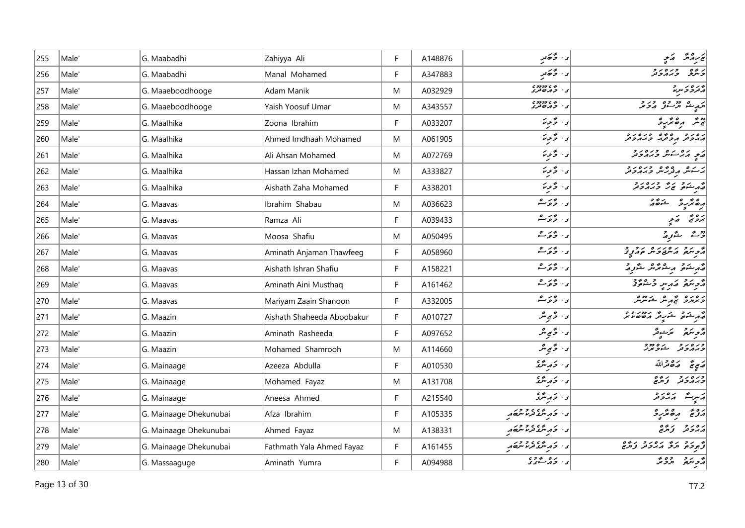| 255 | Male' | G. Maabadhi            | Zahiyya Ali                | F         | A148876 | ى بە ئەھەر                   | يمردوش وكمع                                          |
|-----|-------|------------------------|----------------------------|-----------|---------|------------------------------|------------------------------------------------------|
| 256 | Male' | G. Maabadhi            | Manal Mohamed              | F         | A347883 | ى بە ئەھەر                   | ر پره<br>د سرچه<br>و رە ر د<br>تر ژگرىز              |
| 257 | Male' | G. Maaeboodhooge       | Adam Manik                 | M         | A032929 | ם ממחבר בי<br>ג' צ'ורו שינג  | پر ده ر<br>مرکز <del>گر</del> سربا                   |
| 258 | Male' | G. Maaeboodhooge       | Yaish Yoosuf Umar          | M         | A343557 | ه ۲ وووو د<br>د ۱ و مرحو ترو | بر مان دو وه ور و<br>مر <sub>ک</sub> م شو مان مان بر |
| 259 | Male' | G. Maalhika            | Zoona Ibrahim              | F         | A033207 | ى - گەن كە                   | دور مقبر ده کرد                                      |
| 260 | Male' | G. Maalhika            | Ahmed Imdhaah Mohamed      | M         | A061905 | ى - گەن كە                   |                                                      |
| 261 | Male' | G. Maalhika            | Ali Ahsan Mohamed          | M         | A072769 | ى بە ئۇلومۇ                  | ړې ده ده وره دد                                      |
| 262 | Male' | G. Maalhika            | Hassan Izhan Mohamed       | M         | A333827 | $\sqrt{2.5 + 1.5}$           | بر کنگر مرفر شهر و برمانه و د                        |
| 263 | Male' | G. Maalhika            | Aishath Zaha Mohamed       | F         | A338201 | ى - گەن كە                   | م دو ده وره دو                                       |
| 264 | Male' | G. Maavas              | Ibrahim Shabau             | M         | A036623 | ى بە ئۇرگ                    | גפת כל היסג                                          |
| 265 | Male' | G. Maavas              | Ramza Ali                  | F         | A039433 | ى بە ئۇرگ                    | $5.6$ $8.9$                                          |
| 266 | Male' | G. Maavas              | Moosa Shafiu               | M         | A050495 | ى بە ئۇغەشىر                 | <mark>ژڅ شر</mark> و                                 |
| 267 | Male' | G. Maavas              | Aminath Anjaman Thawfeeg   | F         | A058960 | ى بە ئۇرگ                    | ה ביתוך המגזים הקיב                                  |
| 268 | Male' | G. Maavas              | Aishath Ishran Shafiu      | F         | A158221 | ى بۇ ئەڭ                     | مەر شەھ بەشەنگىر شەرق                                |
| 269 | Male' | G. Maavas              | Aminath Aini Musthaq       | F         | A161462 | ى بە ئۇرگ                    | أأوسم أأرس ومضرور                                    |
| 270 | Male' | G. Maavas              | Mariyam Zaain Shanoon      | F         | A332005 | ى بە ئۇرگ                    | دەرە گەرش خەش                                        |
| 271 | Male' | G. Maazin              | Aishath Shaheeda Aboobakur | F         | A010727 | ى ئەستىم بىر                 |                                                      |
| 272 | Male' | G. Maazin              | Aminath Rasheeda           | F         | A097652 | ى ئەھمى ئىگە                 | أأروبترة أترشوش                                      |
| 273 | Male' | G. Maazin              | Mohamed Shamrooh           | M         | A114660 | ى ئەسچە بىر                  | ورەرو دەھ<br><i>جەم</i> ەدىر شەرىمەز                 |
| 274 | Male' | G. Mainaage            | Azeeza Abdulla             | F         | A010530 | ى ئەرىئىگە                   | أصَبِيَّتُمْ صَصْحَدْاللَّهُ                         |
| 275 | Male' | G. Mainaage            | Mohamed Fayaz              | ${\sf M}$ | A131708 | ى ئەربىرىمى                  | وره رو د ده<br>وبردونر و دره                         |
| 276 | Male' | G. Mainaage            | Aneesa Ahmed               | F         | A215540 | ى ئەرشى                      | أته سرعت المربروتر                                   |
| 277 | Male' | G. Mainaage Dhekunubai | Afza Ibrahim               | F         | A105335 | ی ځمرشۍ مرسمونه              | رەپە مەھمىرو                                         |
| 278 | Male' | G. Mainaage Dhekunubai | Ahmed Fayaz                | ${\sf M}$ | A138331 | ی ځمرشۍ مرحضه                | برەر در دە                                           |
| 279 | Male' | G. Mainaage Dhekunubai | Fathmath Yala Ahmed Fayaz  | F         | A161455 | ى ئەر ئىگەنى ئەھ             | ه د د د په ده د د ده ه<br>ژبوده مرگز مددند زمرځ      |
| 280 | Male' | G. Massaaguge          | Aminath Yumra              | F         | A094988 | ى ئەھرىقىدى                  | أزويتره أودعه                                        |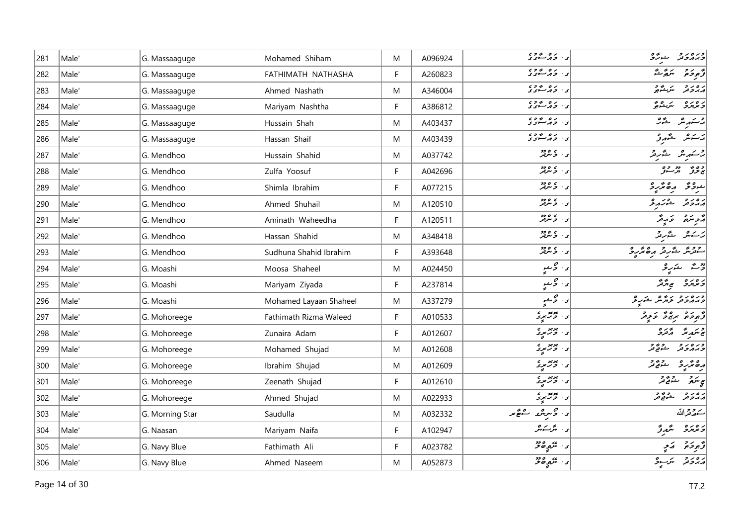| 281 | Male' | G. Massaaguge   | Mohamed Shiham         | M           | A096924 | ى بەر ئەدە                                | ورەرو ئىدگە                                        |
|-----|-------|-----------------|------------------------|-------------|---------|-------------------------------------------|----------------------------------------------------|
| 282 | Male' | G. Massaaguge   | FATHIMATH NATHASHA     | F.          | A260823 | ى بەر ئەدە                                | أزُّمُودَهُ سَهْرَ اللَّهُ وَ                      |
| 283 | Male' | G. Massaaguge   | Ahmed Nashath          | M           | A346004 | ره پوده<br>د که سور                       | رەر دىر ئەر                                        |
| 284 | Male' | G. Massaaguge   | Mariyam Nashtha        | F.          | A386812 | ى بەر ئەدە                                | رەرە شەھۇ                                          |
| 285 | Male' | G. Massaaguge   | Hussain Shah           | M           | A403437 | ى بەرگە ئەدە                              | برسكريش تحدثر                                      |
| 286 | Male' | G. Massaaguge   | Hassan Shaif           | M           | A403439 | ى بەر ئەدە                                | بركسك الشمرقر                                      |
| 287 | Male' | G. Mendhoo      | Hussain Shahid         | M           | A037742 | ے ، بر جو دو<br>بر ، بر شرقتر             | برسكور مشرقه                                       |
| 288 | Male' | G. Mendhoo      | Zulfa Yoosuf           | F           | A042696 | ے ، بھی میں<br>براہ بھی میں               | ده د سمج ده ده د                                   |
| 289 | Male' | G. Mendhoo      | Shimla Ibrahim         | F.          | A077215 | ے ، بر جو دو<br>بر ، بر شرقتر             | أشوقر والمحررة                                     |
| 290 | Male' | G. Mendhoo      | Ahmed Shuhail          | M           | A120510 | ے ، بھی میں<br>براہ بھی میں               | أرەر دىم ئىر                                       |
| 291 | Male' | G. Mendhoo      | Aminath Waheedha       | $\mathsf F$ | A120511 | ے وہ وہ<br>ی گرس                          | أزويتم وتابيته                                     |
| 292 | Male' | G. Mendhoo      | Hassan Shahid          | M           | A348418 | ے ، بھی میں<br>بی ، بھی میں میں           | يركبه الشريق                                       |
| 293 | Male' | G. Mendhoo      | Sudhuna Shahid Ibrahim | F.          | A393648 | ے ، بھی میں<br>بی ، بھی میں میں           | كەنگەر ئەرەر مەھرىرە                               |
| 294 | Male' | G. Moashi       | Moosa Shaheel          | M           | A024450 | $\frac{1}{2}$ $\frac{1}{2}$ $\frac{1}{2}$ | دونے شرکتے<br>مشروع                                |
| 295 | Male' | G. Moashi       | Mariyam Ziyada         | F           | A237814 | $\frac{1}{s^{2}}$                         | و ورو ہے محمد                                      |
| 296 | Male' | G. Moashi       | Mohamed Layaan Shaheel | M           | A337279 | $rac{\sqrt{g}}{g}$ . $s$                  | ورەرو رۇر خېرو                                     |
| 297 | Male' | G. Mohoreege    | Fathimath Rizma Waleed | F.          | A010533 | ء به محرض مرد<br> ء به حرض مرد            | توجوجو برجوق وَمِيثر                               |
| 298 | Male' | G. Mohoreege    | Zunaira Adam           | F           | A012607 | ى بە ئەتەرى<br>ئەسىر ئەتەرى               | ة بريد بر مجرده                                    |
| 299 | Male' | G. Mohoreege    | Mohamed Shujad         | M           | A012608 | پر بیرسر پر<br>ی- فرگر بیری               | وره رو دورو<br><i>وب</i> رمرور شو <sub>قع</sub> تر |
| 300 | Male' | G. Mohoreege    | Ibrahim Shujad         | M           | A012609 | پر بیر<br>ی- ترکر مری                     | دەنزىرە مەدىر<br>مەنزىرە مەدىر                     |
| 301 | Male' | G. Mohoreege    | Zeenath Shujad         | $\mathsf F$ | A012610 | ر به برند در پا<br>د ۱۰ قرم مور           | ىم ئىر ئىش ئىش ئىر<br>ئى                           |
| 302 | Male' | G. Mohoreege    | Ahmed Shujad           | M           | A022933 | ر بر بر در د<br>د ۱ گرم ترموری            | ره ر و و د و و<br>  د بر <del>و</del> تر مسئومتر   |
| 303 | Male' | G. Morning Star | Saudulla               | M           | A032332 | ى ئۇسرىترى سۇڭجىر                         | بحصر تعرالله                                       |
| 304 | Male' | G. Naasan       | Mariyam Naifa          | F.          | A102947 | ى . ئىگرىكىش                              | تر جو بر ج<br>سَّرمر تَرَ                          |
| 305 | Male' | G. Navy Blue    | Fathimath Ali          | $\mathsf F$ | A023782 | ء شموھ پر                                 | ۇ بوخ <sub>ى</sub>                                 |
| 306 | Male' | G. Navy Blue    | Ahmed Naseem           | M           | A052873 | ى شھەھىر                                  | رەرو شەرە                                          |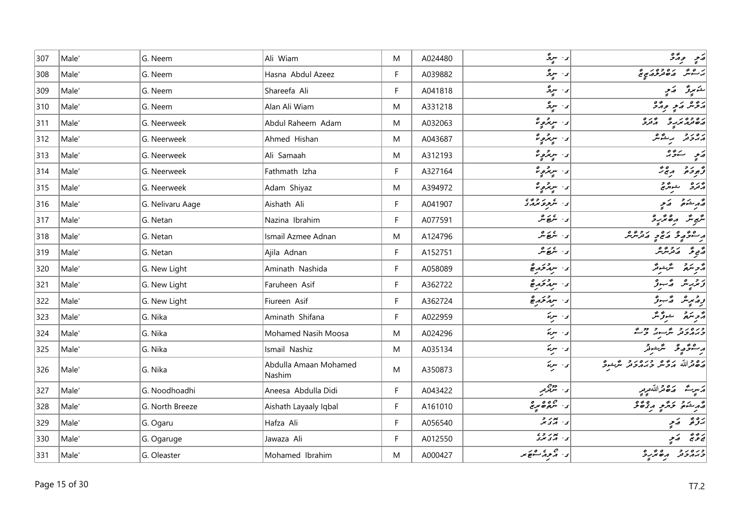| 307    | Male' | G. Neem          | Ali Wiam                        | ${\sf M}$ | A024480 | ى سرچ                    | $\begin{array}{cc} 2 \stackrel{\sigma}{\nearrow} & \stackrel{\sigma}{\nearrow} & \stackrel{\sigma}{\nearrow} & \stackrel{\sigma}{\nearrow} & \stackrel{\sigma}{\nearrow} & \stackrel{\sigma}{\nearrow} & \stackrel{\sigma}{\nearrow} & \stackrel{\sigma}{\nearrow} & \stackrel{\sigma}{\nearrow} & \stackrel{\sigma}{\nearrow} & \stackrel{\sigma}{\nearrow} & \stackrel{\sigma}{\nearrow} & \stackrel{\sigma}{\nearrow} & \stackrel{\sigma}{\nearrow} & \stackrel{\sigma}{\nearrow} & \stackrel{\sigma}{\nearrow} & \stackrel{\sigma}{\nearrow} & \stackrel{\sigma}{\nearrow} & \stackrel{\sigma}{\nearrow} & \stack$ |
|--------|-------|------------------|---------------------------------|-----------|---------|--------------------------|------------------------------------------------------------------------------------------------------------------------------------------------------------------------------------------------------------------------------------------------------------------------------------------------------------------------------------------------------------------------------------------------------------------------------------------------------------------------------------------------------------------------------------------------------------------------------------------------------------------------|
| 308    | Male' | G. Neem          | Hasna Abdul Azeez               | F         | A039882 | ى سرچ                    |                                                                                                                                                                                                                                                                                                                                                                                                                                                                                                                                                                                                                        |
| 309    | Male' | G. Neem          | Shareefa Ali                    | F         | A041818 | ى سرچ                    | الشهورة الكامي                                                                                                                                                                                                                                                                                                                                                                                                                                                                                                                                                                                                         |
| 310    | Male' | G. Neem          | Alan Ali Wiam                   | M         | A331218 | ى سرچ                    | ړوه کې وگړو                                                                                                                                                                                                                                                                                                                                                                                                                                                                                                                                                                                                            |
| 311    | Male' | G. Neerweek      | Abdul Raheem Adam               | M         | A032063 | ى سرپرېمو                | גם כם גם נגם<br>גם <i>נגיגי</i> ב געב                                                                                                                                                                                                                                                                                                                                                                                                                                                                                                                                                                                  |
| $ 312$ | Male' | G. Neerweek      | Ahmed Hishan                    | M         | A043687 | ى سرپرېږم                | رەرو بەشەر                                                                                                                                                                                                                                                                                                                                                                                                                                                                                                                                                                                                             |
| 313    | Male' | G. Neerweek      | Ali Samaah                      | ${\sf M}$ | A312193 | ى سرپرېمو پا             | $25 - 26$                                                                                                                                                                                                                                                                                                                                                                                                                                                                                                                                                                                                              |
| 314    | Male' | G. Neerweek      | Fathmath Izha                   | F         | A327164 | ى سرپرېم په              | قوم موقته                                                                                                                                                                                                                                                                                                                                                                                                                                                                                                                                                                                                              |
| 315    | Male' | G. Neerweek      | Adam Shiyaz                     | ${\sf M}$ | A394972 | ، سرپره په               | وره<br>مرکز شودگنج                                                                                                                                                                                                                                                                                                                                                                                                                                                                                                                                                                                                     |
| 316    | Male' | G. Nelivaru Aage | Aishath Ali                     | F         | A041907 | ى سردە بورى              |                                                                                                                                                                                                                                                                                                                                                                                                                                                                                                                                                                                                                        |
| 317    | Male' | G. Netan         | Nazina Ibrahim                  | F         | A077591 | ى ئىركى ئىر              | شي شر مره تر ره<br>مربع شر                                                                                                                                                                                                                                                                                                                                                                                                                                                                                                                                                                                             |
| 318    | Male' | G. Netan         | Ismail Azmee Adnan              | M         | A124796 | ى ئىركى ئىر              | و حديد و ده درو ده                                                                                                                                                                                                                                                                                                                                                                                                                                                                                                                                                                                                     |
| 319    | Male' | G. Netan         | Ajila Adnan                     | F         | A152751 | ى ئىچ ئىر                | ە ئىم ئەرتىرىترىتر                                                                                                                                                                                                                                                                                                                                                                                                                                                                                                                                                                                                     |
| 320    | Male' | G. New Light     | Aminath Nashida                 | F         | A058089 | ى سرچمىق                 | أأترح متكم والتكرمني                                                                                                                                                                                                                                                                                                                                                                                                                                                                                                                                                                                                   |
| 321    | Male' | G. New Light     | Faruheen Asif                   | F         | A362722 | ى سرچمىق                 | أزبريا برايس                                                                                                                                                                                                                                                                                                                                                                                                                                                                                                                                                                                                           |
| 322    | Male' | G. New Light     | Fiureen Asif                    | F         | A362724 | ى سرچمىق                 | <i>وەيدىن ھې</i> بور                                                                                                                                                                                                                                                                                                                                                                                                                                                                                                                                                                                                   |
| 323    | Male' | G. Nika          | Aminath Shifana                 | F         | A022959 | ی- سمینگ                 | أأدويتهم سورثته                                                                                                                                                                                                                                                                                                                                                                                                                                                                                                                                                                                                        |
| 324    | Male' | G. Nika          | Mohamed Nasih Moosa             | M         | A024296 | ی- سریماً                | ورەرو ئەسەر «ئ                                                                                                                                                                                                                                                                                                                                                                                                                                                                                                                                                                                                         |
| 325    | Male' | G. Nika          | Ismail Nashiz                   | M         | A035134 | ی- سویماً                | برحوم ومحموض مترجوش                                                                                                                                                                                                                                                                                                                                                                                                                                                                                                                                                                                                    |
| 326    | Male' | G. Nika          | Abdulla Amaan Mohamed<br>Nashim | ${\sf M}$ | A350873 | ی - سویماً               | رە داللە مەۋرە دىرەرد شرور                                                                                                                                                                                                                                                                                                                                                                                                                                                                                                                                                                                             |
| 327    | Male' | G. Noodhoadhi    | Aneesa Abdulla Didi             | F         | A043422 | <sub>ی</sub> . مرکز میر  | أرسيت وكافتراللّه مومو                                                                                                                                                                                                                                                                                                                                                                                                                                                                                                                                                                                                 |
| 328    | Male' | G. North Breeze  | Aishath Layaaly Iqbal           | F         | A161010 | $rac{1}{6}$              | $\overbrace{~~}^{\circ}_{\circ}\overbrace{~~}^{\circ}_{\circ}\overbrace{~~}^{\circ}_{\circ}\overbrace{~~}^{\circ}_{\circ}\overbrace{~~}^{\circ}_{\circ}\overbrace{~~}^{\circ}_{\circ}\overbrace{~~}^{\circ}_{\circ}\overbrace{~~}^{\circ}_{\circ}\overbrace{~~}^{\circ}_{\circ}\overbrace{~~}^{\circ}_{\circ}\overbrace{~~}^{\circ}_{\circ}\overbrace{~~}^{\circ}_{\circ}\overbrace{~~}^{\circ}_{\circ}\overbrace{~~}^{\circ}_{\circ}\overbrace{~~}^{\circ}_{\circ}\overbrace{~~}^{\circ}_{\circ}\overbrace{~~}^{\circ}_{\circ}\overbrace{~~}^{\circ}_{\circ}\overbrace{$                                              |
| 329    | Male' | G. Ogaru         | Hafza Ali                       | F         | A056540 | ى بە ئەتەر               | برە بۇ مەر                                                                                                                                                                                                                                                                                                                                                                                                                                                                                                                                                                                                             |
| 330    | Male' | G. Ogaruge       | Jawaza Ali                      | F         | A012550 | پر سر و د<br>د ۱ اړو مرد | $\frac{1}{2}$ $\frac{2}{3}$ $\frac{2}{3}$ $\frac{2}{3}$                                                                                                                                                                                                                                                                                                                                                                                                                                                                                                                                                                |
| 331    | Male' | G. Oleaster      | Mohamed Ibrahim                 | ${\sf M}$ | A000427 | ى مۇمۇسىۋىم              |                                                                                                                                                                                                                                                                                                                                                                                                                                                                                                                                                                                                                        |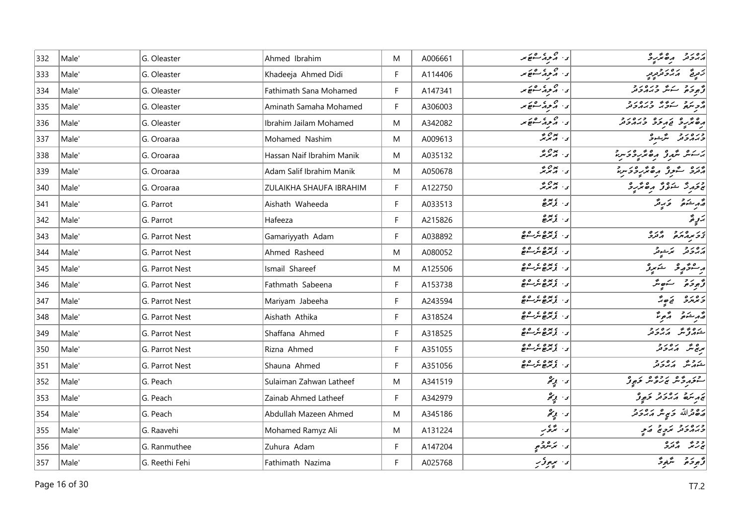| 332 | Male' | G. Oleaster    | Ahmed Ibrahim                  | M           | A006661 | ى ئۇمۇشقۇس                              | גפנג גם ביניב                                        |
|-----|-------|----------------|--------------------------------|-------------|---------|-----------------------------------------|------------------------------------------------------|
| 333 | Male' | G. Oleaster    | Khadeeja Ahmed Didi            | F           | A114406 | ی گرم پر شیخ س                          | ژمرچ در در ورور                                      |
| 334 | Male' | G. Oleaster    | Fathimath Sana Mohamed         | $\mathsf F$ | A147341 | $x = \frac{c}{2}$                       | و د د د دره د د                                      |
| 335 | Male' | G. Oleaster    | Aminath Samaha Mohamed         | F.          | A306003 | ی گروگر شقے پر                          | ه د د د ده د دره د د                                 |
| 336 | Male' | G. Oleaster    | Ibrahim Jailam Mohamed         | M           | A342082 | ى ئۇمۇسىۋىم                             | ת היי ב מיכל במחכת                                   |
| 337 | Male' | G. Oroaraa     | Mohamed Nashim                 | M           | A009613 | ى مىرەپىر<br>ي                          | ورەرو شەر                                            |
| 338 | Male' | G. Oroaraa     | Hassan Naif Ibrahim Manik      | M           | A035132 | ى بىر مەير                              | برسكر شرو رە ئرودىر                                  |
| 339 | Male' | G. Oroaraa     | Adam Salif Ibrahim Manik       | M           | A050678 | ى بىر مىرىگە                            | ړيده کمور ره ټرود سره                                |
| 340 | Male' | G. Oroaraa     | <b>ZULAIKHA SHAUFA IBRAHIM</b> | F           | A122750 | ى بىر مەير                              | تم دَر دَ شَوْرٌ رَهْ دُرِ د                         |
| 341 | Male' | G. Parrot      | Aishath Waheeda                | F           | A033513 | ر بم مرد ه<br>د بم مرد ه                | و<br>مەرخىسى ئەيەم                                   |
| 342 | Male' | G. Parrot      | Hafeeza                        | F           | A215826 | ر بر عره<br>د گرمر <b>ه</b>             | بزوځ                                                 |
| 343 | Male' | G. Parrot Nest | Gamariyyath Adam               | F.          | A038892 | ى بىر ھەر مەھ                           | ر در در در<br>د کاربراندار<br>پور ہ<br>مرکزو         |
| 344 | Male' | G. Parrot Nest | Ahmed Rasheed                  | M           | A080052 | ى بىرە ئ <sub>ە</sub> رە ھ              | ره ر <del>و</del> کرشونر<br>ا <i>ر بر</i> ونر کرشونر |
| 345 | Male' | G. Parrot Nest | Ismail Shareef                 | M           | A125506 | ے بو برھ مرے ہے<br>یہ بو برھ مرے ج      | رەشۇر ئىر                                            |
| 346 | Male' | G. Parrot Nest | Fathmath Sabeena               | F           | A153738 | ، بېرە ئەرە                             | أزّودَهْ سَعِيثَر                                    |
| 347 | Male' | G. Parrot Nest | Mariyam Jabeeha                | F           | A243594 | ، بېرە ئەرە                             | ג פינים בשים ב                                       |
| 348 | Male' | G. Parrot Nest | Aishath Athika                 | F           | A318524 | ى بىر ھەر مەھ<br>ئەنگە ئەربىر ھەر سىر ھ | أقرم شنعو اقرمونة                                    |
| 349 | Male' | G. Parrot Nest | Shaffana Ahmed                 | F           | A318525 | ى بىر ھەر مەھ<br>ئىس كىرى ئىس كىر       | شەر ئەر بەر دەر د                                    |
| 350 | Male' | G. Parrot Nest | Rizna Ahmed                    | F           | A351055 | ى بىر ھەر مەھ<br>ئىس كىرى ئىس كىر       | ىرچ ئىگە ئەكەر 2                                     |
| 351 | Male' | G. Parrot Nest | Shauna Ahmed                   | F           | A351056 | ى بىر ھەر مەھ<br>ئىس كىرى ئىس كىر       | شەر ئەرەر دەر                                        |
| 352 | Male' | G. Peach       | Sulaiman Zahwan Latheef        | M           | A341519 | ى بوگۇ                                  | ر د د و پر د و و د و د <sub>و</sub> و                |
| 353 | Male' | G. Peach       | Zainab Ahmed Latheef           | F           | A342979 | ى بوگۇ                                  | ىم ئىر ئەرەبىر ئەر                                   |
| 354 | Male' | G. Peach       | Abdullah Mazeen Ahmed          | M           | A345186 | ى بېرگۇ                                 | برە داللە كەبچ ئىر برېردىر                           |
| 355 | Male' | G. Raavehi     | Mohamed Ramyz Ali              | M           | A131224 | ۔<br>ئ- ئىزغ <sup>ى</sup> ر             | כמחכת תבש הב                                         |
| 356 | Male' | G. Ranmuthee   | Zuhura Adam                    | F           | A147204 | ى ئەسىر ئەرەپ                           | و و پر په مره<br>پح <i>ر ب</i> ر کردن                |
| 357 | Male' | G. Reethi Fehi | Fathimath Nazima               | F           | A025768 | ی سمپرہ تو پہ                           | تؤجرخا الشجاج                                        |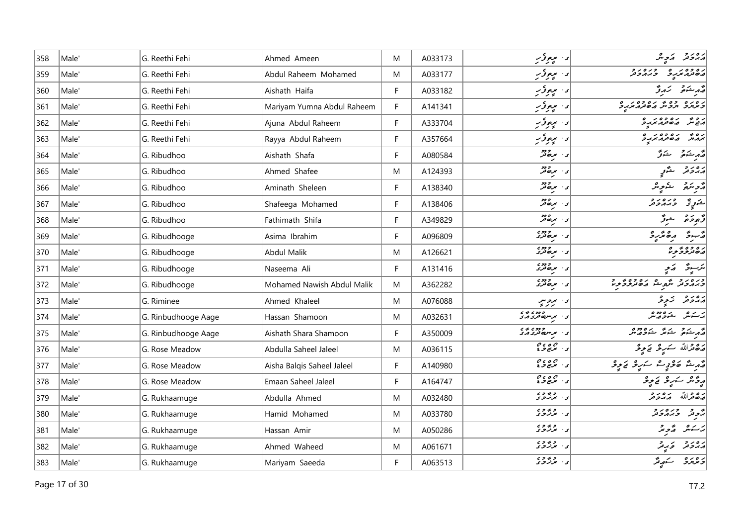| 358 | Male' | G. Reethi Fehi      | Ahmed Ameen                | M           | A033173 | ی سمبروژبر<br>سم                                                                                                               | پروتر کے پر                                              |
|-----|-------|---------------------|----------------------------|-------------|---------|--------------------------------------------------------------------------------------------------------------------------------|----------------------------------------------------------|
| 359 | Male' | G. Reethi Fehi      | Abdul Raheem Mohamed       | M           | A033177 | ای مره وگړ<br><u>است</u>                                                                                                       | מסכם מם כממכנת                                           |
| 360 | Male' | G. Reethi Fehi      | Aishath Haifa              | $\mathsf F$ | A033182 | ی سمپرہ تو پہ                                                                                                                  | أمام يشاه أستهور                                         |
| 361 | Male' | G. Reethi Fehi      | Mariyam Yumna Abdul Raheem | F.          | A141341 | ی سمپروگر<br>سم                                                                                                                | ג ם גם כם זה גם כם גם<br>בינות כ"תכית השנקה בגב          |
| 362 | Male' | G. Reethi Fehi      | Ajuna Abdul Raheem         | F           | A333704 | ی سمپرہ تو پہ<br>سمج                                                                                                           | ره وه ره<br>پره تربر تر<br>ىر 3 مىگە<br>مەلق مىگە        |
| 363 | Male' | G. Reethi Fehi      | Rayya Abdul Raheem         | $\mathsf F$ | A357664 | ی- س <sub>ی</sub> عوثر<br>سیموثر                                                                                               | גם מי הם כם גם                                           |
| 364 | Male' | G. Ribudhoo         | Aishath Shafa              | F           | A080584 | و دو<br>ي- مرح قر                                                                                                              | گەرىشى <i>تى ئى</i> تى<br>م                              |
| 365 | Male' | G. Ribudhoo         | Ahmed Shafee               | M           | A124393 | و دو.<br>ي- موړه تو                                                                                                            | ړه د په کې                                               |
| 366 | Male' | G. Ribudhoo         | Aminath Sheleen            | F           | A138340 | و دو<br>ي - مرحوفر                                                                                                             | ۇ ئىر ئىم ئىم ئىش                                        |
| 367 | Male' | G. Ribudhoo         | Shafeega Mohamed           | F           | A138406 | و دود.<br>د ۱ برخانگر                                                                                                          | و ره ر د<br>تر پر ژنر<br>ڪوي <sub>و</sub> ٿو.<br>سنڌو تو |
| 368 | Male' | G. Ribudhoo         | Fathimath Shifa            | F           | A349829 | و دو<br>ي - موقص کر                                                                                                            | ۇ بوخ <sup>ە</sup><br>شەرگ                               |
| 369 | Male' | G. Ribudhooge       | Asima Ibrahim              | F           | A096809 |                                                                                                                                | رمج سبزقر<br>ەھ ئۈرۈ                                     |
| 370 | Male' | G. Ribudhooge       | <b>Abdul Malik</b>         | M           | A126621 | و ووو ع<br>ي - محر تص فري                                                                                                      | ر ه و ه و و<br>پرې تر پور وړ                             |
| 371 | Male' | G. Ribudhooge       | Naseema Ali                | $\mathsf F$ | A131416 | و وو ع<br>ي - محر تص قرى                                                                                                       | لترسوق الأمو                                             |
| 372 | Male' | G. Ribudhooge       | Mohamed Nawish Abdul Malik | M           | A362282 | و ووو بر<br>ي - محر ت <i>ص</i> تحري                                                                                            | ورەر دېمبۇر مەدەپر دە                                    |
| 373 | Male' | G. Riminee          | Ahmed Khaleel              | M           | A076088 | ی از مورو بس<br>الزامری                                                                                                        | پرەر ئىرىگى                                              |
| 374 | Male' | G. Rinbudhooge Aage | Hassan Shamoon             | M           | A032631 | و دون ده و<br>د ۲ مرس ه تر د ار د                                                                                              | يركس كالمعادون                                           |
| 375 | Male' | G. Rinbudhooge Aage | Aishath Shara Shamoon      | F           | A350009 | د .<br>او . موسره ترو برو                                                                                                      |                                                          |
| 376 | Male' | G. Rose Meadow      | Abdulla Saheel Jaleel      | M           | A036115 | $\begin{array}{c} \rho_{\mathcal{L}} \circ \rho \\ \chi_{\mathcal{L}} \circ \chi \end{array}$                                  | رَهْمْراللّه سَمَرٍ وَ وَحِرِ وَ                         |
| 377 | Male' | G. Rose Meadow      | Aisha Balqis Saheel Jaleel | F           | A140980 | $\begin{array}{c} \mathcal{O} \mathcal{L} \circ \mathcal{O} \circ \mathcal{L} \circ \mathcal{S} \circ \mathcal{S} \end{array}$ | ړُږگ کوُږِک کړو کړو                                      |
| 378 | Male' | G. Rose Meadow      | Emaan Saheel Jaleel        | $\mathsf F$ | A164747 | م و ه ه ه م<br>د ۰ مرج و ډ                                                                                                     | ړ د پر شر و ځ ږ و                                        |
| 379 | Male' | G. Rukhaamuge       | Abdulla Ahmed              | M           | A032480 | ر به عروج د<br>ر به مرگروی                                                                                                     | رەقراللە مەردىر                                          |
| 380 | Male' | G. Rukhaamuge       | Hamid Mohamed              | M           | A033780 | ر بەردە<br>ئ بىرگەن                                                                                                            | جو وره دو                                                |
| 381 | Male' | G. Rukhaamuge       | Hassan Amir                | M           | A050286 | ر بەردە<br>ئ بىرگەنى                                                                                                           | برسەيىتە<br>ر پی تر                                      |
| 382 | Male' | G. Rukhaamuge       | Ahmed Waheed               | M           | A061671 | ر به ۱۶۶۶ وي.<br>د ۱۰ مترگرون                                                                                                  | ر ە ر د<br>م.روتر<br>ءَ ٻه تر                            |
| 383 | Male' | G. Rukhaamuge       | Mariyam Saeeda             | F           | A063513 | و به وه و ه<br>و - مورکوی                                                                                                      | رەرە سەرىگە                                              |
|     |       |                     |                            |             |         |                                                                                                                                |                                                          |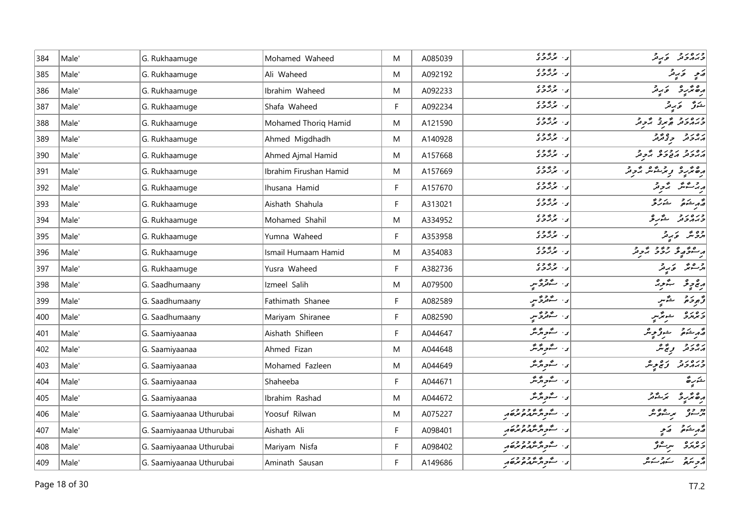| 384 | Male' | G. Rukhaamuge            | Mohamed Waheed         | M  | A085039 | ر بەردە<br>ئ                      | دره رو در کرد                                         |
|-----|-------|--------------------------|------------------------|----|---------|-----------------------------------|-------------------------------------------------------|
| 385 | Male' | G. Rukhaamuge            | Ali Waheed             | M  | A092192 | ر به عربی و د<br>کار میمرگرفت ک   | أة يحتمد ترقر                                         |
| 386 | Male' | G. Rukhaamuge            | Ibrahim Waheed         | M  | A092233 | د به عروج د<br>د اگر مرکز و ی     | رەنزىر ئىبىر                                          |
| 387 | Male' | G. Rukhaamuge            | Shafa Waheed           | F  | A092234 | ر بەردە<br>ئ بىرگەن               | ريدونه<br>سنون و کار ور                               |
| 388 | Male' | G. Rukhaamuge            | Mohamed Thorig Hamid   | M  | A121590 | ر به ۱۶۶۶<br>د اگرگری             |                                                       |
| 389 | Male' | G. Rukhaamuge            | Ahmed Migdhadh         | M  | A140928 | ر به ۱۶۶۶<br>د اگرنرگان           | د ه د د په دولته د ا                                  |
| 390 | Male' | G. Rukhaamuge            | Ahmed Ajmal Hamid      | M  | A157668 | ر بەردە<br>ئ                      | גפגי גיגם הבית                                        |
| 391 | Male' | G. Rukhaamuge            | Ibrahim Firushan Hamid | M  | A157669 | ى - ئۇگەنى                        | رەتمرىر رىمىشىر تەرىر                                 |
| 392 | Male' | G. Rukhaamuge            | Ihusana Hamid          | F  | A157670 | ى - ئوگەنى<br>ى - ئىرگەنى         | ورژ شش بر و تر                                        |
| 393 | Male' | G. Rukhaamuge            | Aishath Shahula        | F  | A313021 | ر به بروی<br>د انگرنری            | وكرمشكم الشروع                                        |
| 394 | Male' | G. Rukhaamuge            | Mohamed Shahil         | M  | A334952 | ر بەردە<br>ئ بىرگەن               | ورەرو ئەرۋ                                            |
| 395 | Male' | G. Rukhaamuge            | Yumna Waheed           | F  | A353958 | د به دوه<br>د امرژوی              | وه شهر محمد تر<br>مرح شهر محمد تر                     |
| 396 | Male' | G. Rukhaamuge            | Ismail Humaam Hamid    | M  | A354083 | ى - ئۇگەنى                        | ر موځ په وه ده د برخه                                 |
| 397 | Male' | G. Rukhaamuge            | Yusra Waheed           | F  | A382736 | ى - ئۇزگەن                        | د ه پر ته د کردگر<br>افرانستر کل د کار                |
| 398 | Male' | G. Saadhumaany           | Izmeel Salih           | M  | A079500 | ى سەھرگە بىر                      | رېږي شور                                              |
| 399 | Male' | G. Saadhumaany           | Fathimath Shanee       | F  | A082589 | ى سەھرۇس                          | ء<br>ترجو حرم<br>مشگرسر                               |
| 400 | Male' | G. Saadhumaany           | Mariyam Shiranee       | F  | A082590 | ى سەھرىر سر                       | ر ه ر ه<br><del>د</del> بربرگ<br>ڪو مگرسي <i>ر</i>    |
| 401 | Male' | G. Saamiyaanaa           | Aishath Shifleen       | F. | A044647 | ى سەھەر ئەتە                      | پ <sup>و</sup> مرشومو<br>مرم<br>ے وگو پی <sub>س</sub> |
| 402 | Male' | G. Saamiyaanaa           | Ahmed Fizan            | M  | A044648 | ى سەھەر ئەش                       | برەر ئەر ئە                                           |
| 403 | Male' | G. Saamiyaanaa           | Mohamed Fazleen        | M  | A044649 | ى سەرترىتر                        | ورەرو رەپ                                             |
| 404 | Male' | G. Saamiyaanaa           | Shaheeba               | F  | A044671 | ى سەھەر ئەش                       | ے کرچھ<br>خ                                           |
| 405 | Male' | G. Saamiyaanaa           | Ibrahim Rashad         | M  | A044672 | ى ، سەھەر ئىر                     | ە ئەرە ئەرەر<br>مەھەرى                                |
| 406 | Male' | G. Saamiyaanaa Uthurubai | Yoosuf Rilwan          | M  | A075227 | . گروه مودود.<br>. گروه موسو      | دو به ده<br>مرسسو<br>ىر شوڭرىش                        |
| 407 | Male' | G. Saamiyaanaa Uthurubai | Aishath Ali            | F  | A098401 | . گرېز سره وره<br>د کرېز سره ده د | أمار مشتور أمامي                                      |
| 408 | Male' | G. Saamiyaanaa Uthurubai | Mariyam Nisfa          | F. | A098402 | . گروه مودود.<br>. گروه موسو      | ر ه ر ه<br><del>ر</del> بربرو                         |
| 409 | Male' | G. Saamiyaanaa Uthurubai | Aminath Sausan         | F. | A149686 | . گرد معده برخه                   | ۇرىزە سەزسەش                                          |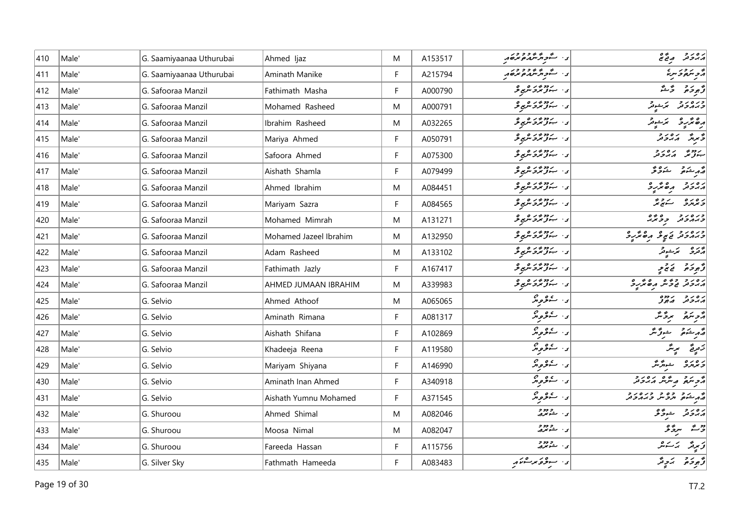| 410 | Male' | G. Saamiyaanaa Uthurubai | Ahmed ljaz             | M  | A153517 |                                       | پروژو<br>صقح                                               |
|-----|-------|--------------------------|------------------------|----|---------|---------------------------------------|------------------------------------------------------------|
| 411 | Male' | G. Saamiyaanaa Uthurubai | Aminath Manike         | F. | A215794 | ى سۇمەھمەدە <i>دە</i> ر               | و مستور شریکا<br>مستر سر مسر                               |
| 412 | Male' | G. Safooraa Manzil       | Fathimath Masha        | F. | A000790 | ى سۆزىمرىر ھەيج                       | ر گ<br>ۇ بوز ئە                                            |
| 413 | Male' | G. Safooraa Manzil       | Mohamed Rasheed        | M  | A000791 | ر دود دره رو<br>د ۱ <b>سزی</b> رد شهر | ورەرو كەنبەتى                                              |
| 414 | Male' | G. Safooraa Manzil       | Ibrahim Rasheed        | M  | A032265 | ى سۇرىم تەھرىم تۈ                     | ە ھەترىر <sup>ە</sup><br>بمرشوقر                           |
| 415 | Male' | G. Safooraa Manzil       | Mariya Ahmed           | F  | A050791 | ى سۇزىمرىر ھەج                        | ۇ بىر ئىر<br>ەر دەر                                        |
| 416 | Male' | G. Safooraa Manzil       | Safoora Ahmed          | F  | A075300 | ى سۇرىم <i>دىھى</i> بۇ                | ر دوم ده د و د<br>ستونو مدرومر                             |
| 417 | Male' | G. Safooraa Manzil       | Aishath Shamla         | F  | A079499 | ر دود دره بر و په و                   | دُر شَرَمَ شَرَحْرٌ                                        |
| 418 | Male' | G. Safooraa Manzil       | Ahmed Ibrahim          | M  | A084451 | ى سۆزىمرە ئىرە                        | גם גם הפיתיים                                              |
| 419 | Male' | G. Safooraa Manzil       | Mariyam Sazra          | F  | A084565 | ى سۆزىمرىر ھەيج                       | ر ه بر ه<br><del>د</del> بربر د<br>سەيچ ئىگە               |
| 420 | Male' | G. Safooraa Manzil       | Mohamed Mimrah         | M  | A131271 | ى سۇر ئەرەپىرى                        | ر و بو و<br>و ر ه ر و<br>د بر پر تر                        |
| 421 | Male' | G. Safooraa Manzil       | Mohamed Jazeel Ibrahim | M  | A132950 | ى سۆزىمرىر ھەيج                       | ورەرو يې ئو مەھگرى                                         |
| 422 | Male' | G. Safooraa Manzil       | Adam Rasheed           | M  | A133102 | ى سۇزىمرىر ھەج                        | وره کرشونر<br>مرکز کرشونر                                  |
| 423 | Male' | G. Safooraa Manzil       | Fathimath Jazly        | F  | A167417 | ى سەدەبەر ھ <sub>ى</sub> بۇ           | تزجوختم فأنجمج                                             |
| 424 | Male' | G. Safooraa Manzil       | AHMED JUMAAN IBRAHIM   | M  | A339983 | ى سۇزىمرىر ھەج                        | גם גב בשיל תפיל גם                                         |
| 425 | Male' | G. Selvio                | Ahmed Athoof           | M  | A065065 | ى سەۋەپر                              | גם ג כרס<br>הגבה הפצ                                       |
| 426 | Male' | G. Selvio                | Aminath Rimana         | F. | A081317 | ى سەۋەپر                              | ومحر يحرج مرتجنكر                                          |
| 427 | Male' | G. Selvio                | Aishath Shifana        | F. | A102869 | ى سۇۋەپر                              | پ <sup>و</sup> پر ڪوير<br>پر کار سندھ<br>ے وگر مگر         |
| 428 | Male' | G. Selvio                | Khadeeja Reena         | F  | A119580 | ى سەۋەپر                              | ئرتورنج<br>م<br>ىبرىتر                                     |
| 429 | Male' | G. Selvio                | Mariyam Shiyana        | F  | A146990 | ى سەۋەپر                              | ويوبره<br>شەدگرىگر                                         |
| 430 | Male' | G. Selvio                | Aminath Inan Ahmed     | F  | A340918 | ى سەۋەپر                              | ה<br>הכיתם, הייתיות המכת                                   |
| 431 | Male' | G. Selvio                | Aishath Yumnu Mohamed  | F  | A371545 | ى سەۋەپر                              | ه در ده ده د دره د د<br>په دشوي مرد سر د بر د تر           |
| 432 | Male' | G. Shuroou               | Ahmed Shimal           | M  | A082046 | ر مشورد د<br>ر مشوهرها                | ر ه ر د<br>م.ر <del>د</del> تر<br>ىشەر <i>ۇ</i> ئ <i>ۇ</i> |
| 433 | Male' | G. Shuroou               | Moosa Nimal            | M  | A082047 | ر دور<br>د شومره                      | چرمئے<br>سرڈ ثر                                            |
| 434 | Male' | G. Shuroou               | Fareeda Hassan         | F. | A115756 | د شمیر<br>د شمیر                      | برسەھە<br>ۇ مومۇ                                           |
| 435 | Male' | G. Silver Sky            | Fathmath Hameeda       | F. | A083483 | ى سوۋە برسىم كۆر                      | رُّمِوحَمْ يَا لِمَدَّ                                     |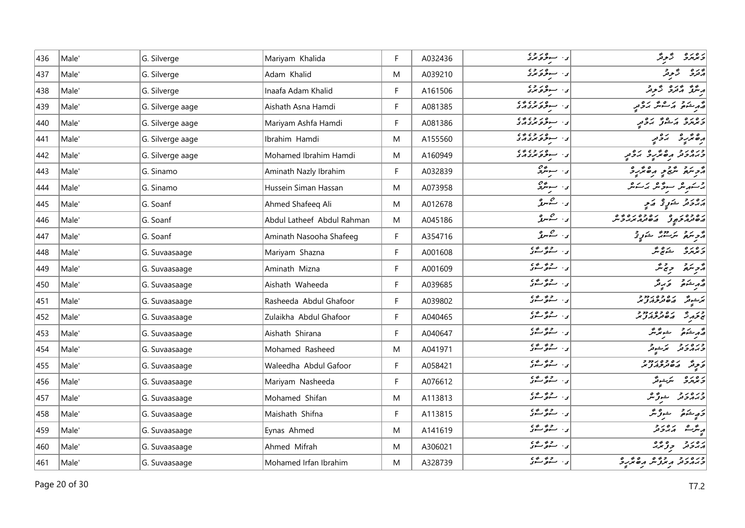| 436 | Male' | G. Silverge      | Mariyam Khalida            | F           | A032436 | ی ۱۰ سودگار و د<br>ک                 | ر ه بر ه<br>تر <del>ب</del> ر بر<br>رُّ وتَرُ   |
|-----|-------|------------------|----------------------------|-------------|---------|--------------------------------------|-------------------------------------------------|
| 437 | Male' | G. Silverge      | Adam Khalid                | M           | A039210 | ی ۱۰ سوء کار و دی<br>محب اسلود کاری  | أرتمرو المحاوير                                 |
| 438 | Male' | G. Silverge      | Inaafa Adam Khalid         | F           | A161506 | د . سوفره د ،<br>-                   | وبترقه أزندو الزوقر                             |
| 439 | Male' | G. Silverge aage | Aishath Asna Hamdi         | F.          | A081385 | د ۱۰ سورو ده د د<br>د ۱۰ سورو بود ور |                                                 |
| 440 | Male' | G. Silverge aage | Mariyam Ashfa Hamdi        | F           | A081386 | $595999 - 5$                         | י פיים היישור הכת                               |
| 441 | Male' | G. Silverge aage | Ibrahim Hamdi              | M           | A155560 | $\frac{1}{1}$                        | رە ئرىر بەۋىر                                   |
| 442 | Male' | G. Silverge aage | Mohamed Ibrahim Hamdi      | M           | A160949 | ى سوفو بورو ە<br>ى سوفو بورى بىرى    | ورەر دەھ برە برەپر                              |
| 443 | Male' | G. Sinamo        | Aminath Nazly Ibrahim      | F.          | A032839 | ى سىرتىرى                            | مجمع ملتجم مقترع                                |
| 444 | Male' | G. Sinamo        | Hussein Siman Hassan       | M           | A073958 | ى سىرتىرى                            | برستهر شروعهم برستاند                           |
| 445 | Male' | G. Soanf         | Ahmed Shafeeq Ali          | M           | A012678 | ى كەسۇ                               | پروژو ځوړ په په                                 |
| 446 | Male' | G. Soanf         | Abdul Latheef Abdul Rahman | M           | A045186 | ى شەھۋ                               | נסכסנים נסכסנסגים<br>גישנגיבית גישנגיגיביינ     |
| 447 | Male' | G. Soanf         | Aminath Nasooha Shafeeg    | F.          | A354716 | ى شىرو                               | أو برو بر دوه شرور                              |
| 448 | Male' | G. Suvaasaage    | Mariyam Shazna             | F           | A001608 | ى سىمۇسۇي                            | رەرە شەھ شە                                     |
| 449 | Male' | G. Suvaasaage    | Aminath Mizna              | $\mathsf F$ | A001609 | ى سۇھەمىي                            | أأدجني دبي                                      |
| 450 | Male' | G. Suvaasaage    | Aishath Waheeda            | F           | A039685 | ى سىق شى                             | مەرشۇم قاباقە                                   |
| 451 | Male' | G. Suvaasaage    | Rasheeda Abdul Ghafoor     | F           | A039802 | ى سىق ئىسى                           | بر شوتر دره وه بردد و<br>بر شوتر در ۱۵ تاریخ بر |
| 452 | Male' | G. Suvaasaage    | Zulaikha Abdul Ghafoor     | F           | A040465 | ى سۇمۇسۇي                            | ور دو وه دود و<br>مخ در شهر محمد خرد و          |
| 453 | Male' | G. Suvaasaage    | Aishath Shirana            | F           | A040647 | ى سۇمۇسۇي                            | أقهر مشكرة المستوجز يتكر                        |
| 454 | Male' | G. Suvaasaage    | Mohamed Rasheed            | M           | A041971 | ى سۇمۇسۇي                            | ورەرو كەنبەتر                                   |
| 455 | Male' | G. Suvaasaage    | Waleedha Abdul Gafoor      | F.          | A058421 | ى سۇمۇسۇي                            | د په په ۱۵۶۵۶ ورو د                             |
| 456 | Male' | G. Suvaasaage    | Mariyam Nasheeda           | $\mathsf F$ | A076612 | ى سۇمەتتى                            | د وړو ترجيځه                                    |
| 457 | Male' | G. Suvaasaage    | Mohamed Shifan             | M           | A113813 | ى سىمۇسۇي                            | ورەرو ھۆش                                       |
| 458 | Male' | G. Suvaasaage    | Maishath Shifna            | F           | A113815 | ى سۇمۇشۇ                             | كەر ئىككى ئىستى ئىگر                            |
| 459 | Male' | G. Suvaasaage    | Eynas Ahmed                | M           | A141619 | ى سىمۇسۇي                            | أمريش أكدر ورد                                  |
| 460 | Male' | G. Suvaasaage    | Ahmed Mifrah               | M           | A306021 | ى سۇمەتتى                            | رەرو دوم.                                       |
| 461 | Male' | G. Suvaasaage    | Mohamed Irfan Ibrahim      | M           | A328739 | ى سۇمۇشۇ                             | ورەرو مترومى مەھرى                              |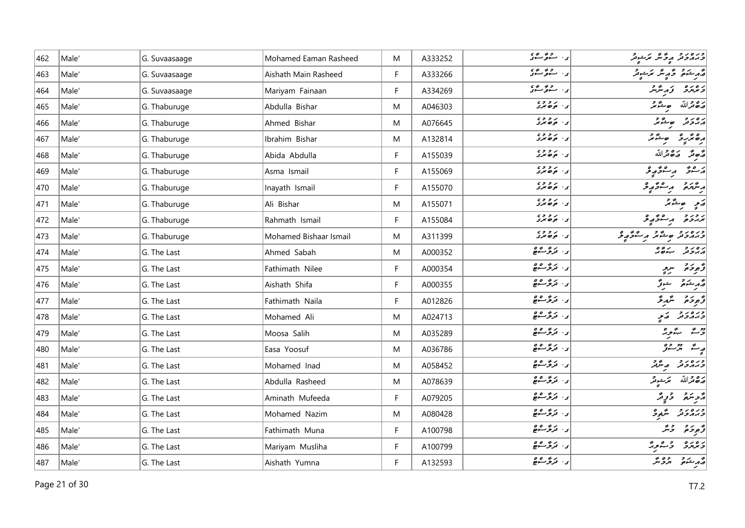| 462 | Male' | G. Suvaasaage | Mohamed Eaman Rasheed  | M           | A333252 | ى بەشقەتتى                              | ورەرو رۇش ئەجو                                                                                                                                    |
|-----|-------|---------------|------------------------|-------------|---------|-----------------------------------------|---------------------------------------------------------------------------------------------------------------------------------------------------|
| 463 | Male' | G. Suvaasaage | Aishath Main Rasheed   | F           | A333266 | ى سۇمۇسۇي                               | أمر المستوفر وتحمير المستحدث المحمد والمستوفر                                                                                                     |
| 464 | Male' | G. Suvaasaage | Mariyam Fainaan        | F           | A334269 | ى سۇمۇسۇي                               | ويروده ومرتكز                                                                                                                                     |
| 465 | Male' | G. Thaburuge  | Abdulla Bishar         | M           | A046303 | ر د د د د<br>د ۰ می ت <i>و ته ب</i> ر د | مَصْعَرِ اللَّهُ صَفَّعَمْ                                                                                                                        |
| 466 | Male' | G. Thaburuge  | Ahmed Bishar           | M           | A076645 | ر د د د د<br>د ۰ می توسر                | ره ر د ور<br>مربروتر صنتونر                                                                                                                       |
| 467 | Male' | G. Thaburuge  | Ibrahim Bishar         | M           | A132814 | ر د د د د<br>د ۰ می تواند د             | رەنزىر ھىقتر                                                                                                                                      |
| 468 | Male' | G. Thaburuge  | Abida Abdulla          | F           | A155039 | ر د د د و د<br>د ۰ می تواند ک           | صحر سكافته الله                                                                                                                                   |
| 469 | Male' | G. Thaburuge  | Asma Ismail            | F           | A155069 | ر و و ی<br>ی گوه مر <sub>ک</sub>        | برعدى برعزمور                                                                                                                                     |
| 470 | Male' | G. Thaburuge  | Inayath Ismail         | F           | A155070 | ر د د د د<br>د ۰ می تورن                |                                                                                                                                                   |
| 471 | Male' | G. Thaburuge  | Ali Bishar             | M           | A155071 | ر د د د د<br>د ۰ می توسر                | أردم ويتمر                                                                                                                                        |
| 472 | Male' | G. Thaburuge  | Rahmath Ismail         | F.          | A155084 | ر د د د د<br>د ۱ می تامری               | ردرد رەمپرو                                                                                                                                       |
| 473 | Male' | G. Thaburuge  | Mohamed Bishaar Ismail | M           | A311399 | ر د د د د<br>د ۱ می تامری               | ورەرو ھېگر مشوگرو                                                                                                                                 |
| 474 | Male' | G. The Last   | Ahmed Sabah            | M           | A000352 | ى بەرگەش ھ                              | ره رو بروه                                                                                                                                        |
| 475 | Male' | G. The Last   | Fathimath Nilee        | F.          | A000354 | ى بىر تۇرگى ھ                           | قُهِ وَحَمْ سِرِ                                                                                                                                  |
| 476 | Male' | G. The Last   | Aishath Shifa          | $\mathsf F$ | A000355 | ى بىر ئۆر ھەھ                           | وگهرڪو ڪوڙ<br>م                                                                                                                                   |
| 477 | Male' | G. The Last   | Fathimath Naila        | F           | A012826 | ى بەرگەش ھ                              | دًّءِ دَءٌ سَمَدٍ دَ                                                                                                                              |
| 478 | Male' | G. The Last   | Mohamed Ali            | M           | A024713 | ى بەرگەر ھ                              | ورەرو كەي                                                                                                                                         |
| 479 | Male' | G. The Last   | Moosa Salih            | M           | A035289 | <sub>ى</sub> بە تەرگەن ھ                | وژ شه شورژ                                                                                                                                        |
| 480 | Male' | G. The Last   | Easa Yoosuf            | M           | A036786 | ى بەرگەر ھ                              | $\begin{array}{cc} \hline \begin{array}{cccc} 0 & 2 & 2 \\ 2 & -2 & 2 \end{array} & \begin{array}{c} 2 & 2 \\ 2 & -2 & 2 \end{array} \end{array}$ |
| 481 | Male' | G. The Last   | Mohamed Inad           | M           | A058452 | ى بەرگەر ھ                              | ورەرو ھىگى                                                                                                                                        |
| 482 | Male' | G. The Last   | Abdulla Rasheed        | M           | A078639 | <sub>ى</sub> بەرگەشىھ                   | أرة قرالله تمرشونر                                                                                                                                |
| 483 | Male' | G. The Last   | Aminath Mufeeda        | F           | A079205 | ى بە تەرگەن ھ                           | ړٌ پر په د وړ تر                                                                                                                                  |
| 484 | Male' | G. The Last   | Mohamed Nazim          | M           | A080428 | ى بەرگەر ھ                              | ورەر ئەرۋ                                                                                                                                         |
| 485 | Male' | G. The Last   | Fathimath Muna         | F           | A100798 | ى بە تەرىپى ھ                           | وً و د و شر                                                                                                                                       |
| 486 | Male' | G. The Last   | Mariyam Musliha        | F.          | A100799 | ى بەرگەر ھ                              | ويرده ومنجر                                                                                                                                       |
| 487 | Male' | G. The Last   | Aishath Yumna          | F           | A132593 | ى بە ئەرگەر ھ                           | أصمر شدة المتحافية                                                                                                                                |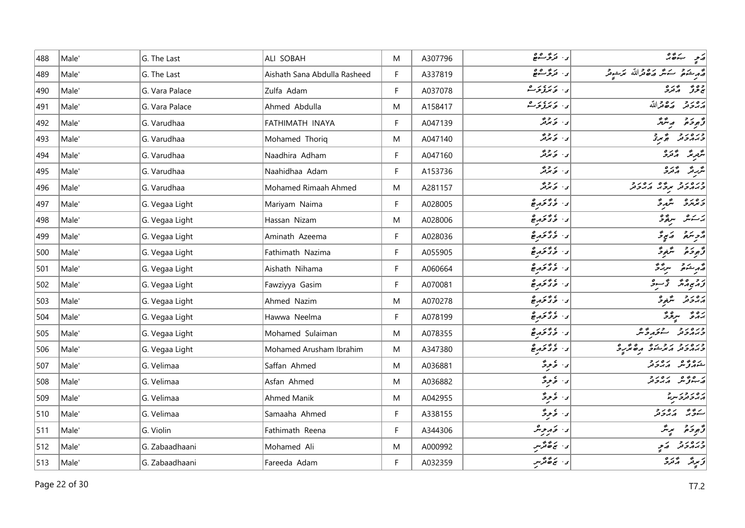| 488 | Male' | G. The Last    | ALI SOBAH                    | M         | A307796 | <sub>ى</sub> بەرگەر ھ                  | $20 - 20$                          |
|-----|-------|----------------|------------------------------|-----------|---------|----------------------------------------|------------------------------------|
| 489 | Male' | G. The Last    | Aishath Sana Abdulla Rasheed | F.        | A337819 | ء کروگرهیچ                             | قەر ئەق سەش ھەھىراللە مەشھەر       |
| 490 | Male' | G. Vara Palace | Zulfa Adam                   | F         | A037078 | ء کا پروژگر ک                          | وه پو په مرده<br>  بح مرکز په مرکز |
| 491 | Male' | G. Vara Palace | Ahmed Abdulla                | M         | A158417 | ى ئەسرىمەت ھ                           | برەرد برەدالله                     |
| 492 | Male' | G. Varudhaa    | FATHIMATH INAYA              | F         | A047139 | ى بە ئەيمەتىر                          | قرموخرة ويتركز                     |
| 493 | Male' | G. Varudhaa    | Mohamed Thoriq               | M         | A047140 | ى بە ئەتر                              | ورەر دەرد                          |
| 494 | Male' | G. Varudhaa    | Naadhira Adham               | F         | A047160 | ى بە ئەتر                              | شَعِرِ شَدَّ أَرْمَرْدُ            |
| 495 | Male' | G. Varudhaa    | Naahidhaa Adam               | F         | A153736 | ى بە ئەتەنگر                           | بتربر قد مرکز آرادی                |
| 496 | Male' | G. Varudhaa    | Mohamed Rimaah Ahmed         | M         | A281157 | ى بەر ئەنگر                            | כנסגב גם גסגב<br>בגהכת תבג הגבת    |
| 497 | Male' | G. Vegaa Light | Mariyam Naima                | F.        | A028005 | ى ئەممىر ھ                             | د ۱۵ د صمر شم                      |
| 498 | Male' | G. Vegaa Light | Hassan Nizam                 | M         | A028006 | د ، در ده.<br>د او د گرم ه             | يركسكر سرقوقر                      |
| 499 | Male' | G. Vegaa Light | Aminath Azeema               | F         | A028036 | ى ئەممىز ھ                             | أأرجع أربيخ                        |
| 500 | Male' | G. Vegaa Light | Fathimath Nazima             | F         | A055905 | <i>ى ئەرە</i> م<br>ئ                   | قَرْوِرَةً مُتَّوَرَّ              |
| 501 | Male' | G. Vegaa Light | Aishath Nihama               | F         | A060664 | ى ئەممۇرى                              | وأمر شكوفة المسرر محركة            |
| 502 | Male' | G. Vegaa Light | Fawziyya Gasim               | F         | A070081 | $rac{1}{2}$                            | ورمورو تحسو                        |
| 503 | Male' | G. Vegaa Light | Ahmed Nazim                  | ${\sf M}$ | A070278 | $rac{1}{2}$                            | أرور والمحمود                      |
| 504 | Male' | G. Vegaa Light | Hawwa Neelma                 | F.        | A078199 | $rac{1}{2}$                            | رە ئەرگە                           |
| 505 | Male' | G. Vegaa Light | Mohamed Sulaiman             | M         | A078355 | د کار د هر ه                           | ورەرو ھۆرۈش                        |
| 506 | Male' | G. Vegaa Light | Mohamed Arusham Ibrahim      | M         | A347380 | $rac{1}{2}$                            | ورەر د پرېشو مەھرىپ                |
| 507 | Male' | G. Velimaa     | Saffan Ahmed                 | M         | A036881 | د . غ و پ <sup>ه</sup>                 | شەر ئەر بەر دەر د                  |
| 508 | Male' | G. Velimaa     | Asfan Ahmed                  | M         | A036882 | ى ئىمودىگا                             |                                    |
| 509 | Male' | G. Velimaa     | <b>Ahmed Manik</b>           | M         | A042955 | ى ئەمرۇ                                | ر ەر در ر                          |
| 510 | Male' | G. Velimaa     | Samaaha Ahmed                | F         | A338155 | ى ئۇمۇگە                               | ستوبر برەر د                       |
| 511 | Male' | G. Violin      | Fathimath Reena              | F         | A344306 | <mark>ء<sub>َ</sub>، ءَرِم</mark> وسُر | قەددە بېرىتر                       |
| 512 | Male' | G. Zabaadhaani | Mohamed Ali                  | M         | A000992 | <br> ۍ ځ گانگرس                        | ورەرو كې                           |
| 513 | Male' | G. Zabaadhaani | Fareeda Adam                 | F         | A032359 | ى كەنھەترىس                            | كوسيتش المرتدف                     |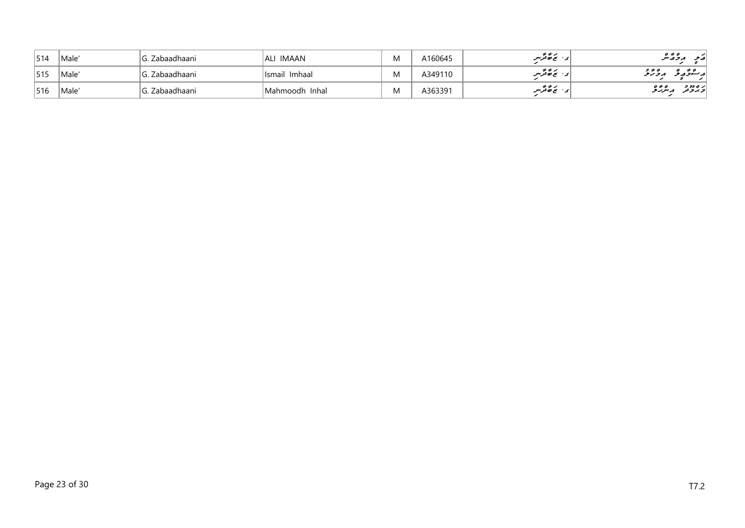| 514 | Male | Zabaadhaani      | IMAAN<br><b>AL</b>      | M | 1160645 | s s v<br>∣ کا نم دے فرسر       | 0 40<br>مرورسر<br>َ ص                         |
|-----|------|------------------|-------------------------|---|---------|--------------------------------|-----------------------------------------------|
| 515 | Male | Zabaadhaani      | Imhaal<br><b>Ismail</b> | М | A349110 | <b>ssi</b><br>∣ ت∼ بح دے تر سر | , s c<br>$\bullet$ 0<br>ナンフィ<br>ہ سور ہ       |
| 516 | Male | . ت. Zabaadhaani | Mahmoodh Inhal          | M | A363391 | <b>ssi</b><br>∣ کا نام دی قرس  | 0 4 0<br>2220/<br>برسورىو<br><i>ح بر و</i> تر |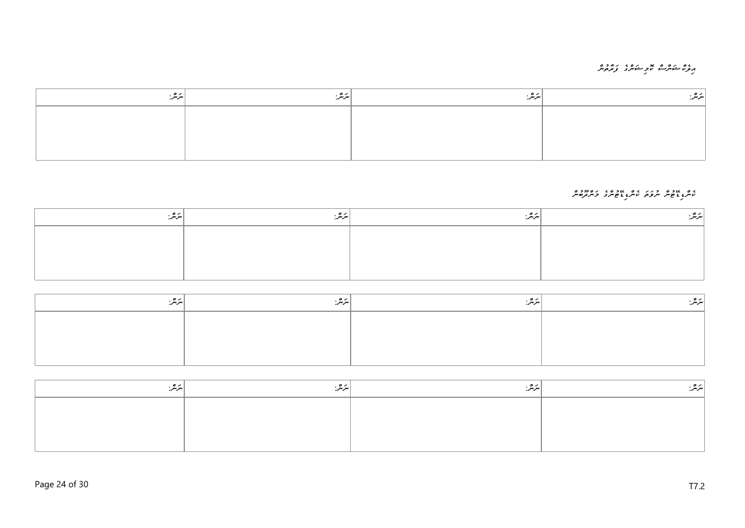## *w7qAn8m? sCw7mRo>u; wEw7mRw;sBo<*

| ' مرمر | 'يئرىثر: |
|--------|----------|
|        |          |
|        |          |
|        |          |

## *w7q9r@w7m> sCw7qHtFoFw7s; mAm=q7 w7qHtFoFw7s;*

| ىر تە | $\mathcal{O} \times$<br>$\sim$ | $\sim$<br>. . | لترنثر |
|-------|--------------------------------|---------------|--------|
|       |                                |               |        |
|       |                                |               |        |
|       |                                |               |        |

| انترنثر: | $^{\circ}$ | يبرهر | $^{\circ}$<br>سرسر |
|----------|------------|-------|--------------------|
|          |            |       |                    |
|          |            |       |                    |
|          |            |       |                    |

| ىرتىر: | 。<br>سر سر | .,<br>مرسر |
|--------|------------|------------|
|        |            |            |
|        |            |            |
|        |            |            |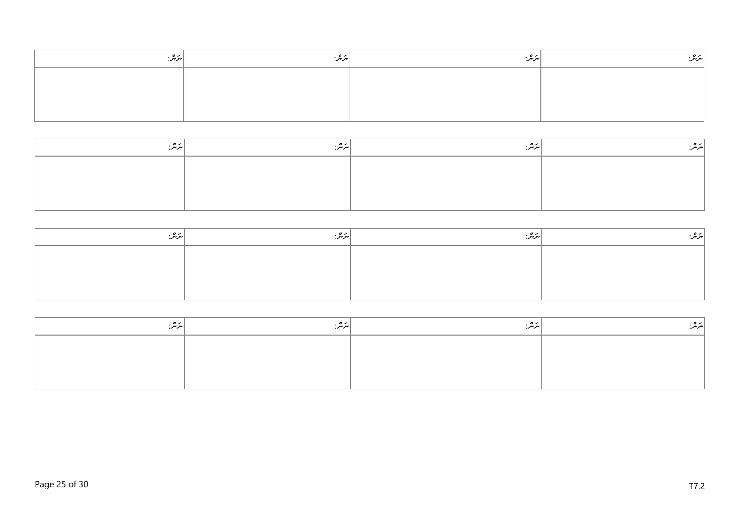| يزهر | $^{\circ}$ | ىئرىتر: |  |
|------|------------|---------|--|
|      |            |         |  |
|      |            |         |  |
|      |            |         |  |

| <sup>.</sup> سرسر. |  |
|--------------------|--|
|                    |  |
|                    |  |
|                    |  |

| ىئرىتر. | $\sim$ | ا بر هه. | لىرىش |
|---------|--------|----------|-------|
|         |        |          |       |
|         |        |          |       |
|         |        |          |       |

| 。<br>مرس. | $\overline{\phantom{a}}$<br>مر سر | يتريثر |
|-----------|-----------------------------------|--------|
|           |                                   |        |
|           |                                   |        |
|           |                                   |        |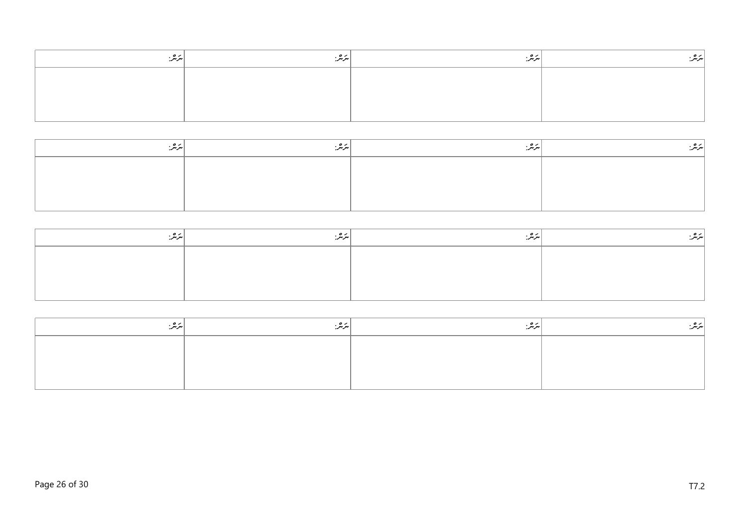| ير هو . | $\overline{\phantom{a}}$ | يرمر | اير هنه. |
|---------|--------------------------|------|----------|
|         |                          |      |          |
|         |                          |      |          |
|         |                          |      |          |

| ئىرتىر: | $\sim$<br>ا سرسر . | يئرمثر | o . |
|---------|--------------------|--------|-----|
|         |                    |        |     |
|         |                    |        |     |
|         |                    |        |     |

| 'تترنثر: | 。<br>,,,, |  |
|----------|-----------|--|
|          |           |  |
|          |           |  |
|          |           |  |

|  | . ه |
|--|-----|
|  |     |
|  |     |
|  |     |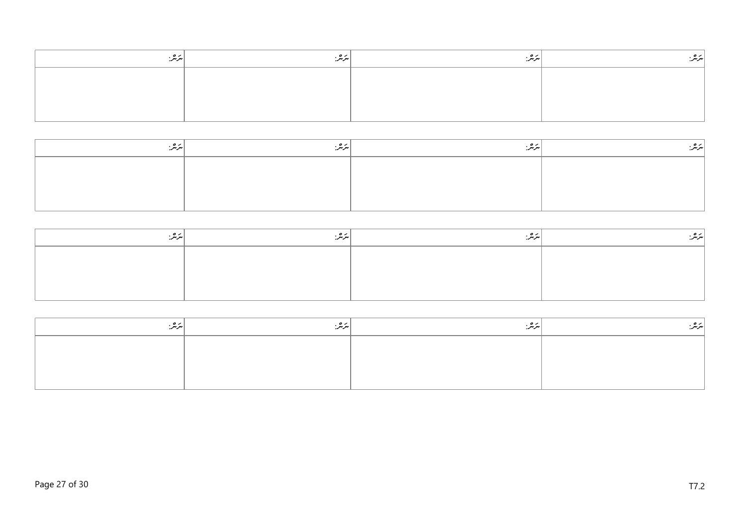| ير هو . | $\overline{\phantom{a}}$ | يرمر | اير هنه. |
|---------|--------------------------|------|----------|
|         |                          |      |          |
|         |                          |      |          |
|         |                          |      |          |

| ىر تىر: | $\circ$ $\sim$<br>" سرسر . | يبرحه | o . |
|---------|----------------------------|-------|-----|
|         |                            |       |     |
|         |                            |       |     |
|         |                            |       |     |

| انترنثر: | ر ه |  |
|----------|-----|--|
|          |     |  |
|          |     |  |
|          |     |  |

|  | . ه |
|--|-----|
|  |     |
|  |     |
|  |     |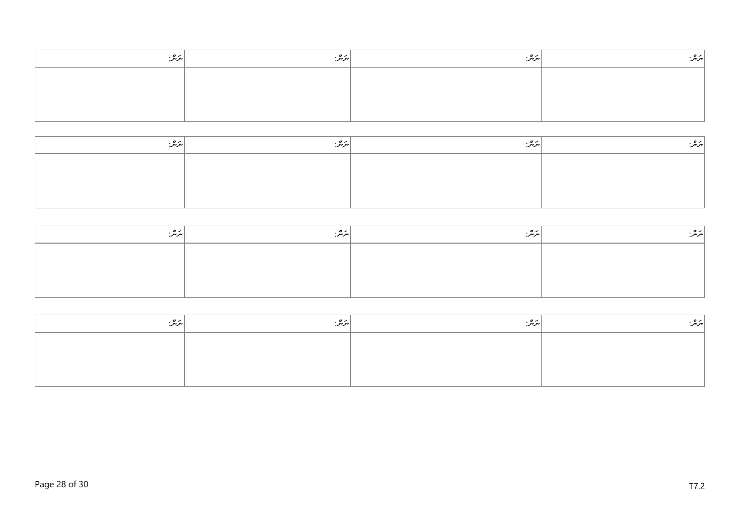| $\cdot$ | ο. | $\frac{\circ}{\cdot}$ | $\sim$<br>سرسر |
|---------|----|-----------------------|----------------|
|         |    |                       |                |
|         |    |                       |                |
|         |    |                       |                |

| ايرعر: | ر ه<br>. . |  |
|--------|------------|--|
|        |            |  |
|        |            |  |
|        |            |  |

| بر ه | 。 | $\sim$<br>َ سومس |  |
|------|---|------------------|--|
|      |   |                  |  |
|      |   |                  |  |
|      |   |                  |  |

| 。<br>. س | ىرىىر |  |
|----------|-------|--|
|          |       |  |
|          |       |  |
|          |       |  |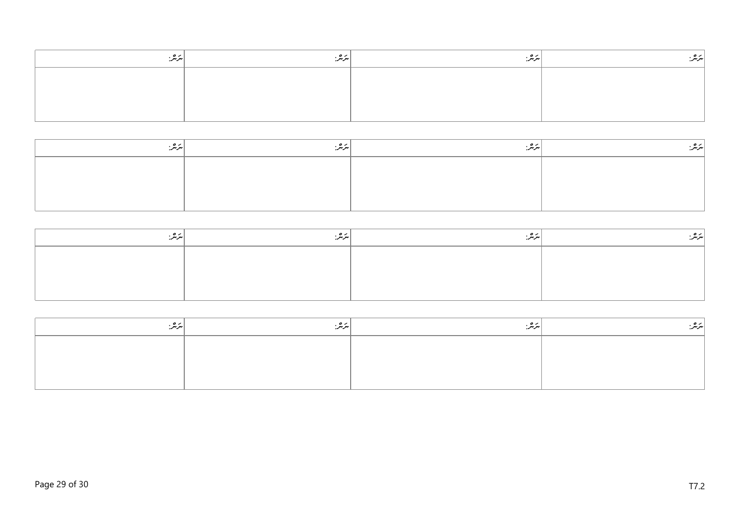| ير هو . | $\overline{\phantom{a}}$ | يرمر | لتزمثن |
|---------|--------------------------|------|--------|
|         |                          |      |        |
|         |                          |      |        |
|         |                          |      |        |

| ىر تىر: | $\circ$ $\sim$<br>" سرسر . | يبرحه | o . |
|---------|----------------------------|-------|-----|
|         |                            |       |     |
|         |                            |       |     |
|         |                            |       |     |

| ابترىثر: | $\sim$<br>. . |  |
|----------|---------------|--|
|          |               |  |
|          |               |  |
|          |               |  |

|  | . ه |
|--|-----|
|  |     |
|  |     |
|  |     |